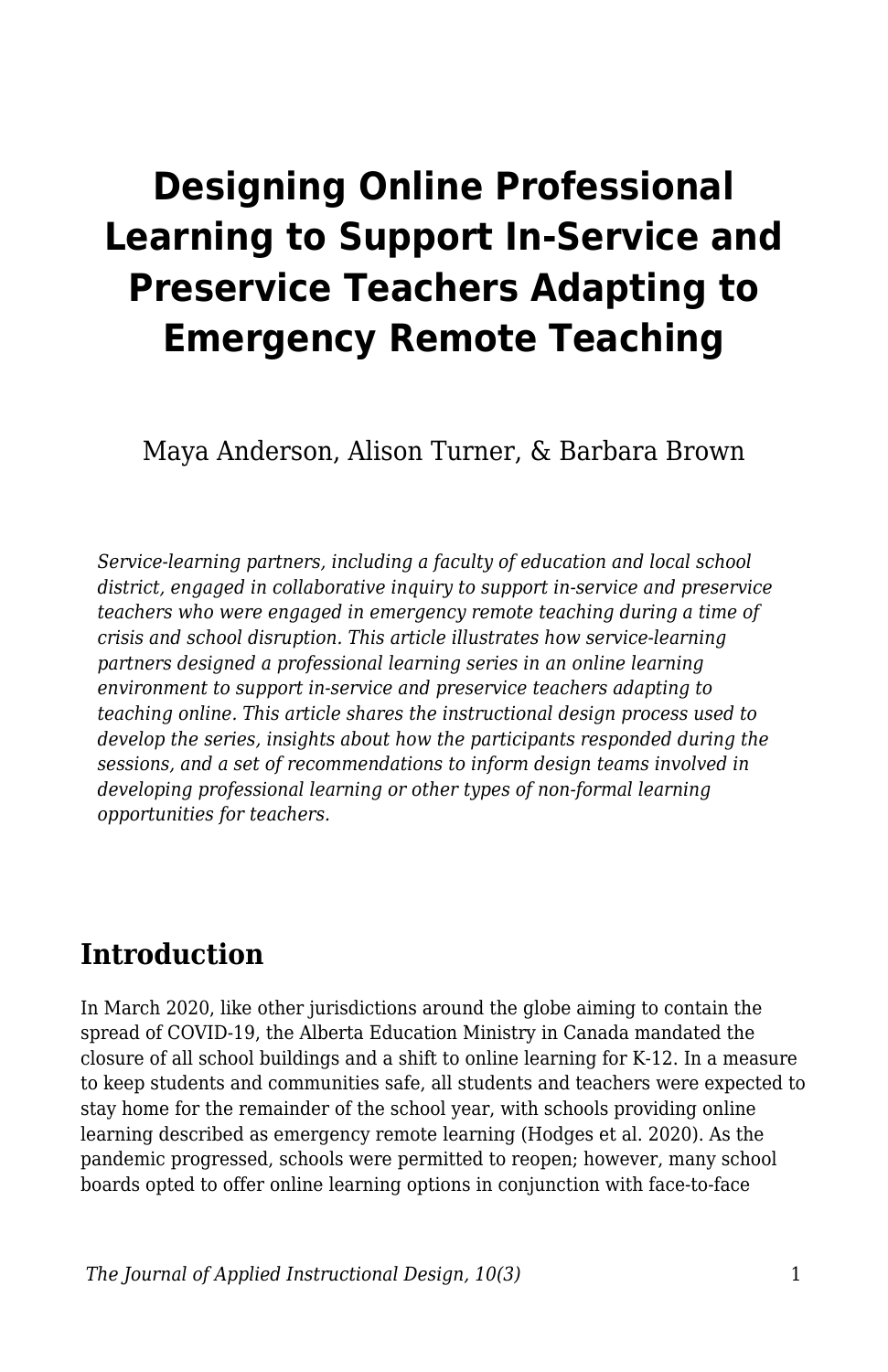# **Designing Online Professional Learning to Support In-Service and Preservice Teachers Adapting to Emergency Remote Teaching**

Maya Anderson, Alison Turner, & Barbara Brown

*Service-learning partners, including a faculty of education and local school district, engaged in collaborative inquiry to support in-service and preservice teachers who were engaged in emergency remote teaching during a time of crisis and school disruption. This article illustrates how service-learning partners designed a professional learning series in an online learning environment to support in-service and preservice teachers adapting to teaching online. This article shares the instructional design process used to develop the series, insights about how the participants responded during the sessions, and a set of recommendations to inform design teams involved in developing professional learning or other types of non-formal learning opportunities for teachers.*

#### **Introduction**

In March 2020, like other jurisdictions around the globe aiming to contain the spread of COVID-19, the Alberta Education Ministry in Canada mandated the closure of all school buildings and a shift to online learning for K-12. In a measure to keep students and communities safe, all students and teachers were expected to stay home for the remainder of the school year, with schools providing online learning described as emergency remote learning (Hodges et al. 2020). As the pandemic progressed, schools were permitted to reopen; however, many school boards opted to offer online learning options in conjunction with face-to-face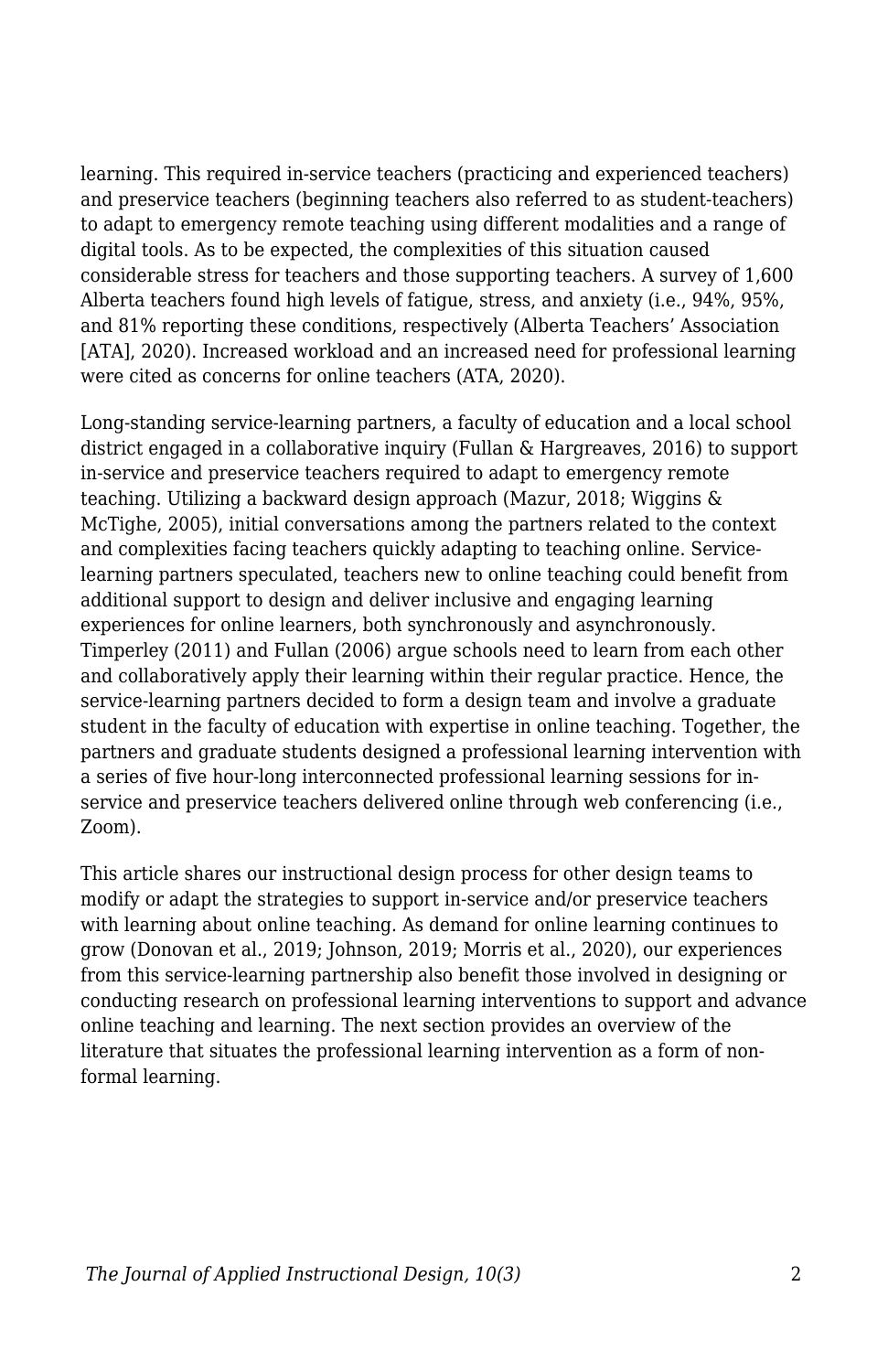learning. This required in-service teachers (practicing and experienced teachers) and preservice teachers (beginning teachers also referred to as student-teachers) to adapt to emergency remote teaching using different modalities and a range of digital tools. As to be expected, the complexities of this situation caused considerable stress for teachers and those supporting teachers. A survey of 1,600 Alberta teachers found high levels of fatigue, stress, and anxiety (i.e., 94%, 95%, and 81% reporting these conditions, respectively (Alberta Teachers' Association [ATA], 2020). Increased workload and an increased need for professional learning were cited as concerns for online teachers (ATA, 2020).

Long-standing service-learning partners, a faculty of education and a local school district engaged in a collaborative inquiry (Fullan & Hargreaves, 2016) to support in-service and preservice teachers required to adapt to emergency remote teaching. Utilizing a backward design approach (Mazur, 2018; Wiggins & McTighe, 2005), initial conversations among the partners related to the context and complexities facing teachers quickly adapting to teaching online. Servicelearning partners speculated, teachers new to online teaching could benefit from additional support to design and deliver inclusive and engaging learning experiences for online learners, both synchronously and asynchronously. Timperley (2011) and Fullan (2006) argue schools need to learn from each other and collaboratively apply their learning within their regular practice. Hence, the service-learning partners decided to form a design team and involve a graduate student in the faculty of education with expertise in online teaching. Together, the partners and graduate students designed a professional learning intervention with a series of five hour-long interconnected professional learning sessions for inservice and preservice teachers delivered online through web conferencing (i.e., Zoom).

This article shares our instructional design process for other design teams to modify or adapt the strategies to support in-service and/or preservice teachers with learning about online teaching. As demand for online learning continues to grow (Donovan et al., 2019; Johnson, 2019; Morris et al., 2020), our experiences from this service-learning partnership also benefit those involved in designing or conducting research on professional learning interventions to support and advance online teaching and learning. The next section provides an overview of the literature that situates the professional learning intervention as a form of nonformal learning.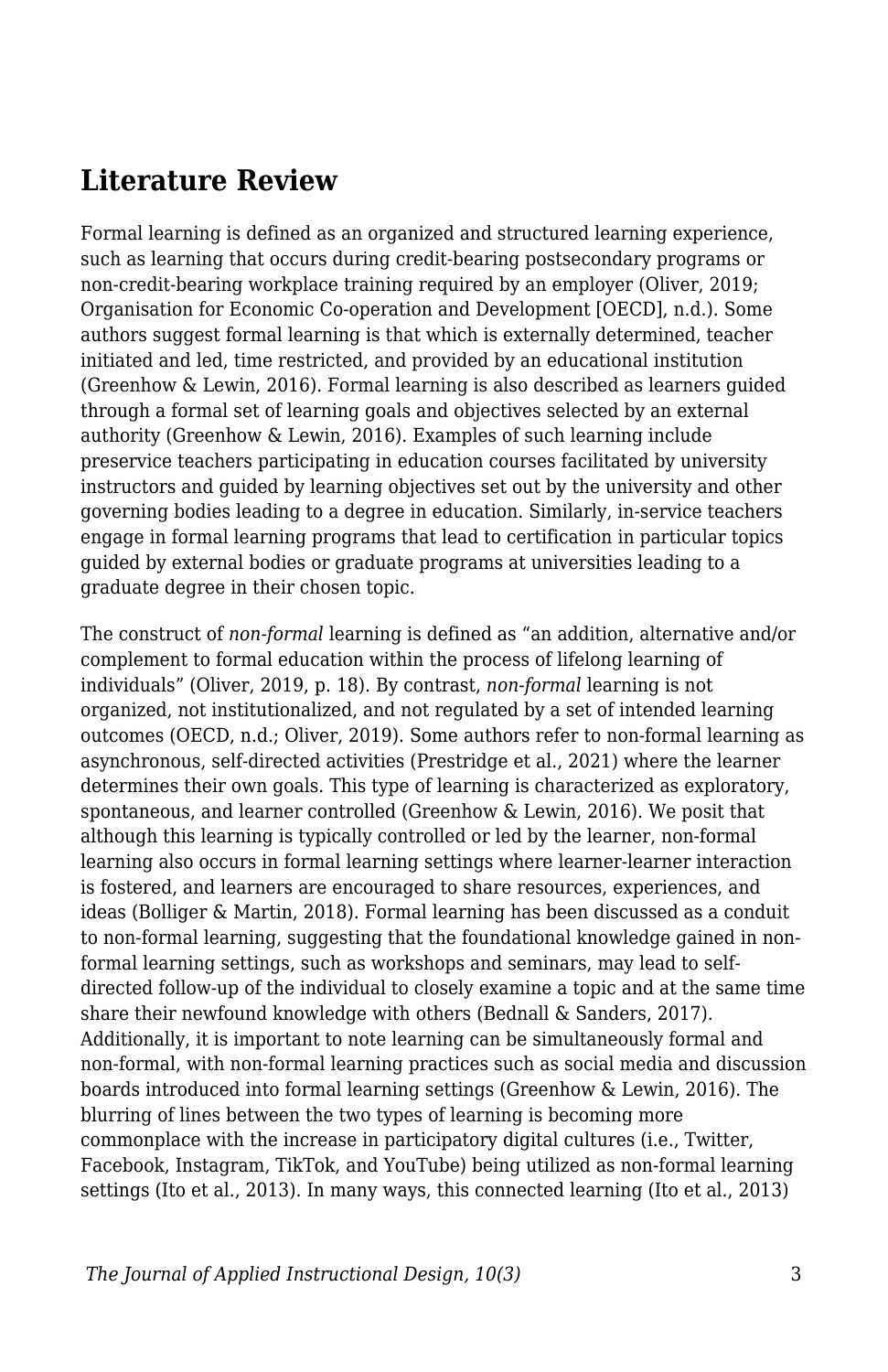#### **Literature Review**

Formal learning is defined as an organized and structured learning experience, such as learning that occurs during credit-bearing postsecondary programs or non-credit-bearing workplace training required by an employer (Oliver, 2019; Organisation for Economic Co-operation and Development [OECD], n.d.). Some authors suggest formal learning is that which is externally determined, teacher initiated and led, time restricted, and provided by an educational institution (Greenhow & Lewin, 2016). Formal learning is also described as learners guided through a formal set of learning goals and objectives selected by an external authority (Greenhow & Lewin, 2016). Examples of such learning include preservice teachers participating in education courses facilitated by university instructors and guided by learning objectives set out by the university and other governing bodies leading to a degree in education. Similarly, in-service teachers engage in formal learning programs that lead to certification in particular topics guided by external bodies or graduate programs at universities leading to a graduate degree in their chosen topic.

The construct of *non-formal* learning is defined as "an addition, alternative and/or complement to formal education within the process of lifelong learning of individuals" (Oliver, 2019, p. 18). By contrast, *non-formal* learning is not organized, not institutionalized, and not regulated by a set of intended learning outcomes (OECD, n.d.; Oliver, 2019). Some authors refer to non-formal learning as asynchronous, self-directed activities (Prestridge et al., 2021) where the learner determines their own goals. This type of learning is characterized as exploratory, spontaneous, and learner controlled (Greenhow & Lewin, 2016). We posit that although this learning is typically controlled or led by the learner, non-formal learning also occurs in formal learning settings where learner-learner interaction is fostered, and learners are encouraged to share resources, experiences, and ideas (Bolliger & Martin, 2018). Formal learning has been discussed as a conduit to non-formal learning, suggesting that the foundational knowledge gained in nonformal learning settings, such as workshops and seminars, may lead to selfdirected follow-up of the individual to closely examine a topic and at the same time share their newfound knowledge with others (Bednall & Sanders, 2017). Additionally, it is important to note learning can be simultaneously formal and non-formal, with non-formal learning practices such as social media and discussion boards introduced into formal learning settings (Greenhow & Lewin, 2016). The blurring of lines between the two types of learning is becoming more commonplace with the increase in participatory digital cultures (i.e., Twitter, Facebook, Instagram, TikTok, and YouTube) being utilized as non-formal learning settings (Ito et al., 2013). In many ways, this connected learning (Ito et al., 2013)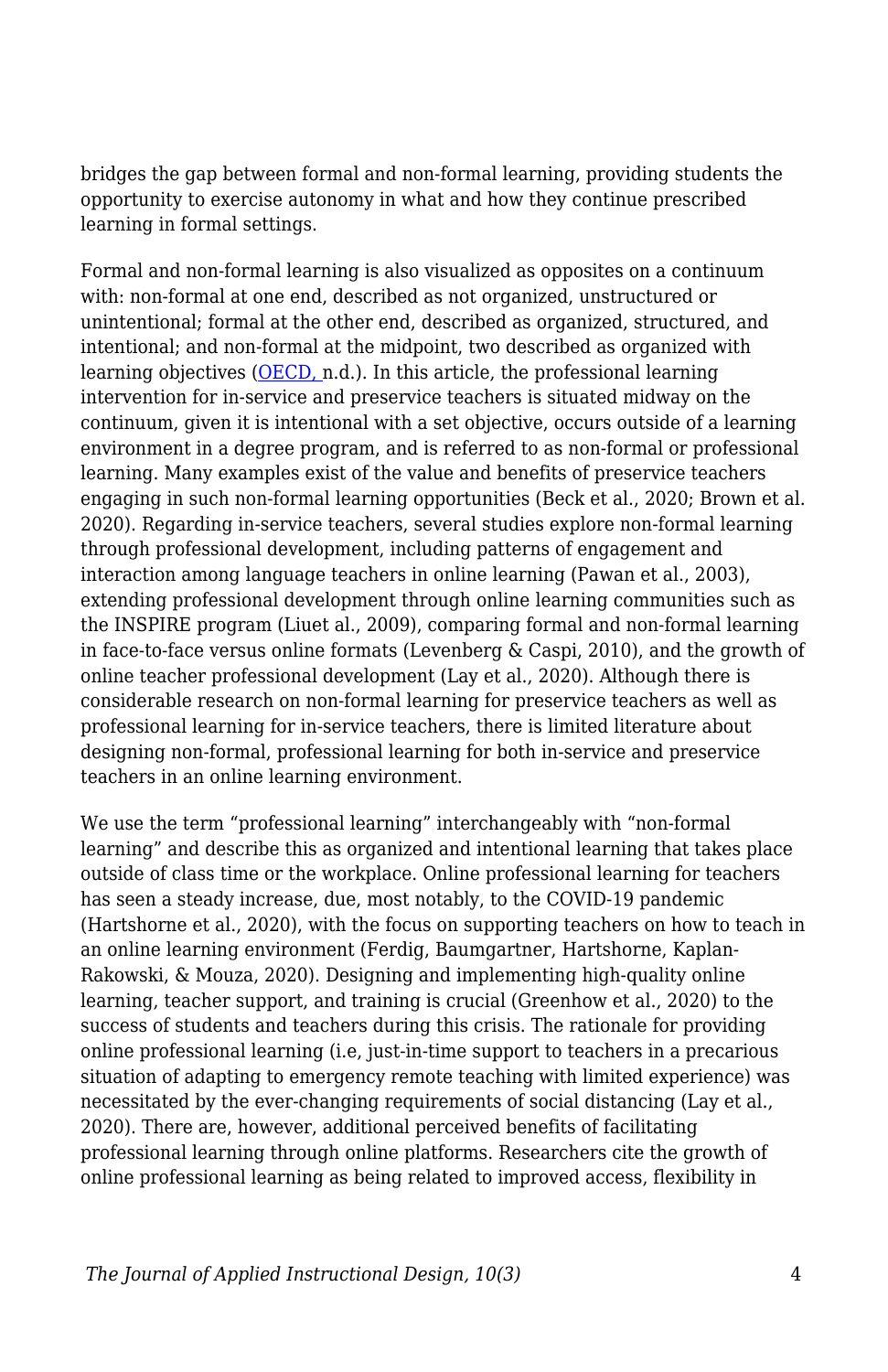bridges the gap between formal and non-formal learning, providing students the opportunity to exercise autonomy in what and how they continue prescribed learning in formal settings.

Formal and non-formal learning is also visualized as opposites on a continuum with: non-formal at one end, described as not organized, unstructured or unintentional; formal at the other end, described as organized, structured, and intentional; and non-formal at the midpoint, two described as organized with learning objectives [\(OECD, n](http://www.oecd.org/education/skills-beyond-school/recognitionofnon-formalandinformallearning-home.htm).d.). In this article, the professional learning intervention for in-service and preservice teachers is situated midway on the continuum, given it is intentional with a set objective, occurs outside of a learning environment in a degree program, and is referred to as non-formal or professional learning. Many examples exist of the value and benefits of preservice teachers engaging in such non-formal learning opportunities (Beck et al., 2020; Brown et al. 2020). Regarding in-service teachers, several studies explore non-formal learning through professional development, including patterns of engagement and interaction among language teachers in online learning (Pawan et al., 2003), extending professional development through online learning communities such as the INSPIRE program (Liuet al., 2009), comparing formal and non-formal learning in face-to-face versus online formats (Levenberg & Caspi, 2010), and the growth of online teacher professional development (Lay et al., 2020). Although there is considerable research on non-formal learning for preservice teachers as well as professional learning for in-service teachers, there is limited literature about designing non-formal, professional learning for both in-service and preservice teachers in an online learning environment.

We use the term "professional learning" interchangeably with "non-formal learning" and describe this as organized and intentional learning that takes place outside of class time or the workplace. Online professional learning for teachers has seen a steady increase, due, most notably, to the COVID-19 pandemic (Hartshorne et al., 2020), with the focus on supporting teachers on how to teach in an online learning environment (Ferdig, Baumgartner, Hartshorne, Kaplan-Rakowski, & Mouza, 2020). Designing and implementing high-quality online learning, teacher support, and training is crucial (Greenhow et al., 2020) to the success of students and teachers during this crisis. The rationale for providing online professional learning (i.e, just-in-time support to teachers in a precarious situation of adapting to emergency remote teaching with limited experience) was necessitated by the ever-changing requirements of social distancing (Lay et al., 2020). There are, however, additional perceived benefits of facilitating professional learning through online platforms. Researchers cite the growth of online professional learning as being related to improved access, flexibility in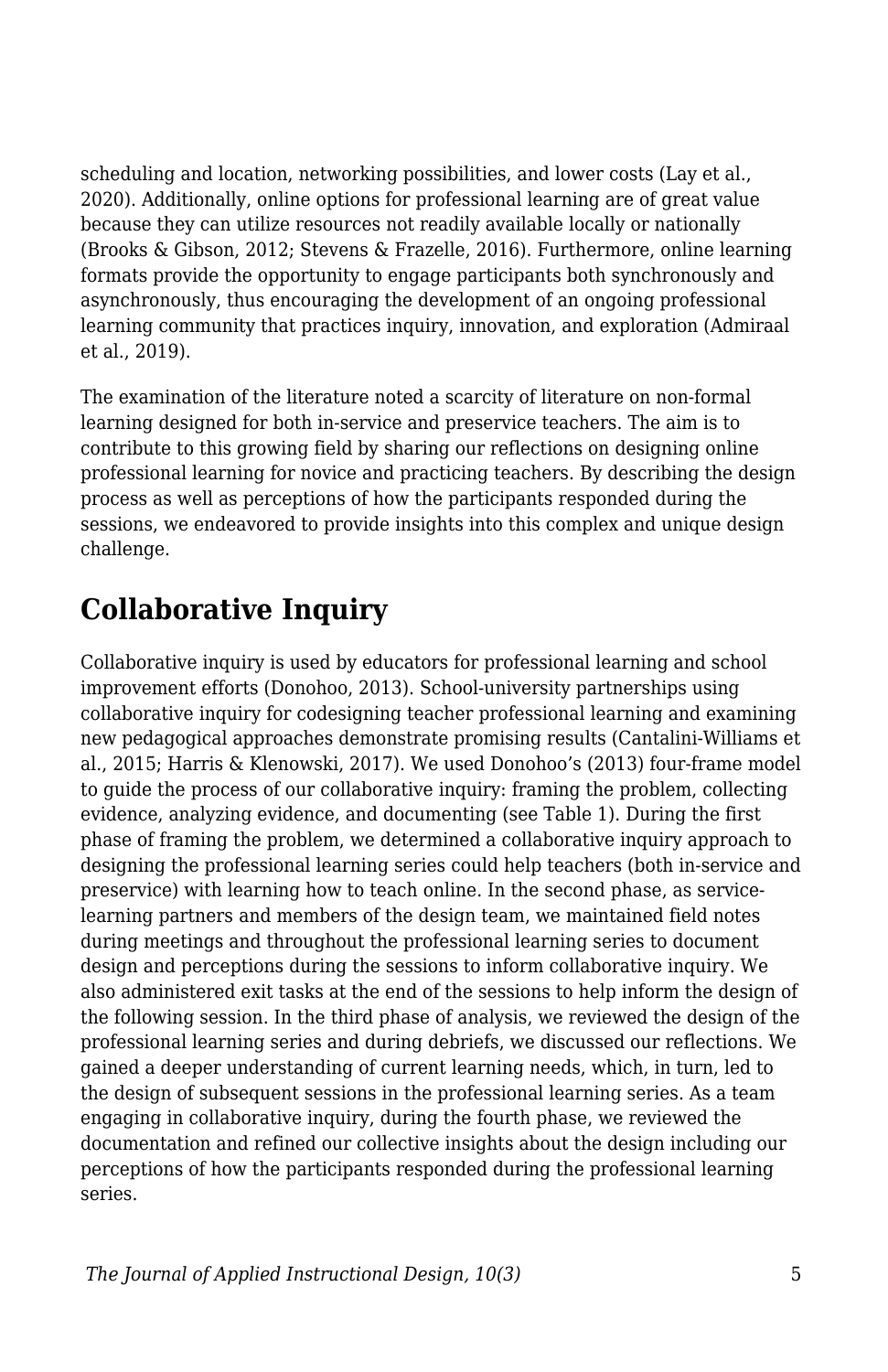scheduling and location, networking possibilities, and lower costs (Lay et al., 2020). Additionally, online options for professional learning are of great value because they can utilize resources not readily available locally or nationally (Brooks & Gibson, 2012; Stevens & Frazelle, 2016). Furthermore, online learning formats provide the opportunity to engage participants both synchronously and asynchronously, thus encouraging the development of an ongoing professional learning community that practices inquiry, innovation, and exploration (Admiraal et al., 2019).

The examination of the literature noted a scarcity of literature on non-formal learning designed for both in-service and preservice teachers. The aim is to contribute to this growing field by sharing our reflections on designing online professional learning for novice and practicing teachers. By describing the design process as well as perceptions of how the participants responded during the sessions, we endeavored to provide insights into this complex and unique design challenge.

## **Collaborative Inquiry**

Collaborative inquiry is used by educators for professional learning and school improvement efforts (Donohoo, 2013). School-university partnerships using collaborative inquiry for codesigning teacher professional learning and examining new pedagogical approaches demonstrate promising results (Cantalini-Williams et al., 2015; Harris & Klenowski, 2017). We used Donohoo's (2013) four-frame model to guide the process of our collaborative inquiry: framing the problem, collecting evidence, analyzing evidence, and documenting (see Table 1). During the first phase of framing the problem, we determined a collaborative inquiry approach to designing the professional learning series could help teachers (both in-service and preservice) with learning how to teach online. In the second phase, as servicelearning partners and members of the design team, we maintained field notes during meetings and throughout the professional learning series to document design and perceptions during the sessions to inform collaborative inquiry. We also administered exit tasks at the end of the sessions to help inform the design of the following session. In the third phase of analysis, we reviewed the design of the professional learning series and during debriefs, we discussed our reflections. We gained a deeper understanding of current learning needs, which, in turn, led to the design of subsequent sessions in the professional learning series. As a team engaging in collaborative inquiry, during the fourth phase, we reviewed the documentation and refined our collective insights about the design including our perceptions of how the participants responded during the professional learning series.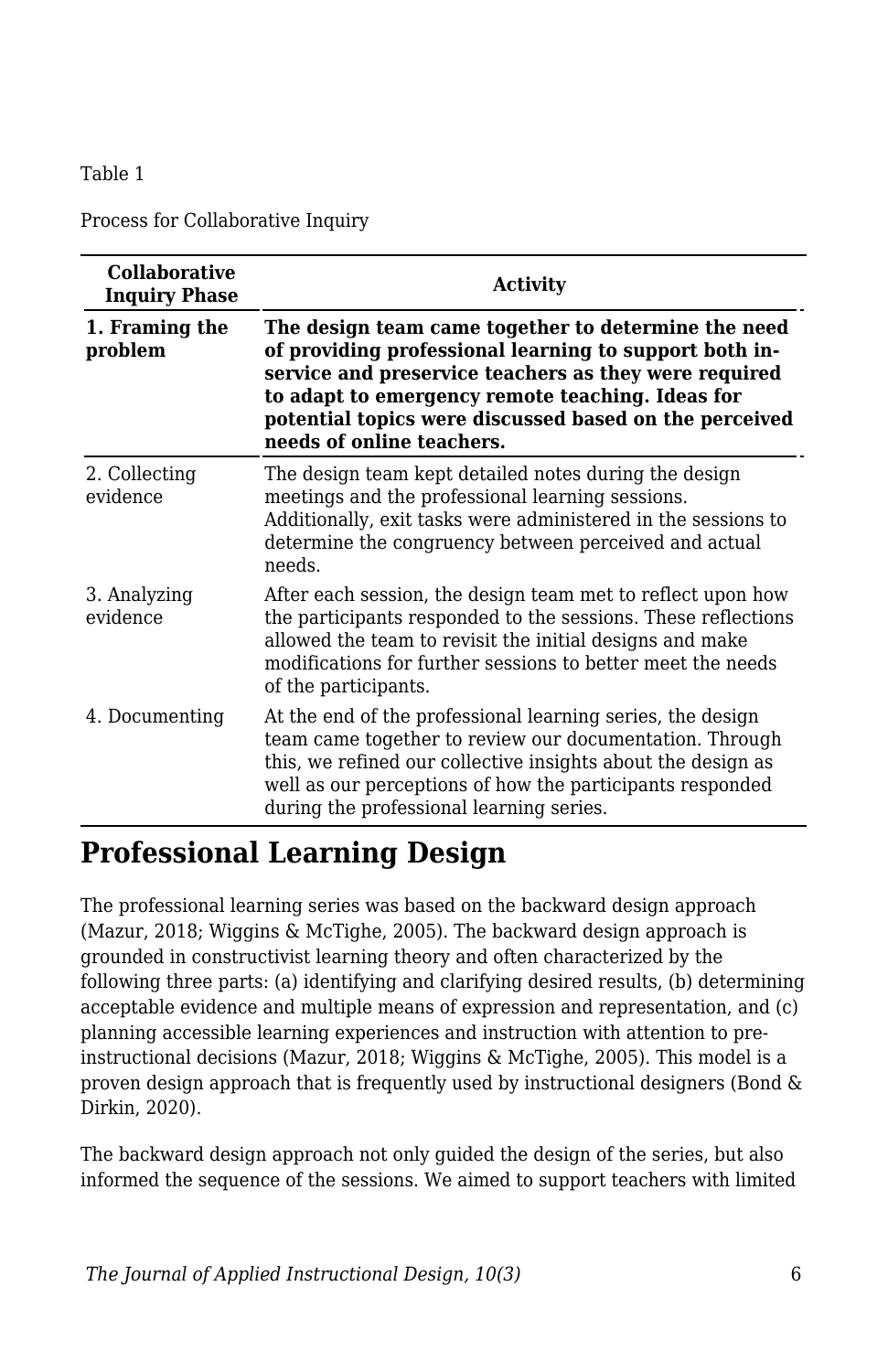Table 1

Process for Collaborative Inquiry

| <b>Collaborative</b><br><b>Inquiry Phase</b> | <b>Activity</b>                                                                                                                                                                                                                                                                                                   |  |
|----------------------------------------------|-------------------------------------------------------------------------------------------------------------------------------------------------------------------------------------------------------------------------------------------------------------------------------------------------------------------|--|
| 1. Framing the<br>problem                    | The design team came together to determine the need<br>of providing professional learning to support both in-<br>service and preservice teachers as they were required<br>to adapt to emergency remote teaching. Ideas for<br>potential topics were discussed based on the perceived<br>needs of online teachers. |  |
| 2. Collecting<br>evidence                    | The design team kept detailed notes during the design<br>meetings and the professional learning sessions.<br>Additionally, exit tasks were administered in the sessions to<br>determine the congruency between perceived and actual<br>needs.                                                                     |  |
| 3. Analyzing<br>evidence                     | After each session, the design team met to reflect upon how<br>the participants responded to the sessions. These reflections<br>allowed the team to revisit the initial designs and make<br>modifications for further sessions to better meet the needs<br>of the participants.                                   |  |
| 4. Documenting                               | At the end of the professional learning series, the design<br>team came together to review our documentation. Through<br>this, we refined our collective insights about the design as<br>well as our perceptions of how the participants responded<br>during the professional learning series.                    |  |

## **Professional Learning Design**

The professional learning series was based on the backward design approach (Mazur, 2018; Wiggins & McTighe, 2005). The backward design approach is grounded in constructivist learning theory and often characterized by the following three parts: (a) identifying and clarifying desired results, (b) determining acceptable evidence and multiple means of expression and representation, and (c) planning accessible learning experiences and instruction with attention to preinstructional decisions (Mazur, 2018; Wiggins & McTighe, 2005). This model is a proven design approach that is frequently used by instructional designers (Bond & Dirkin, 2020).

The backward design approach not only guided the design of the series, but also informed the sequence of the sessions. We aimed to support teachers with limited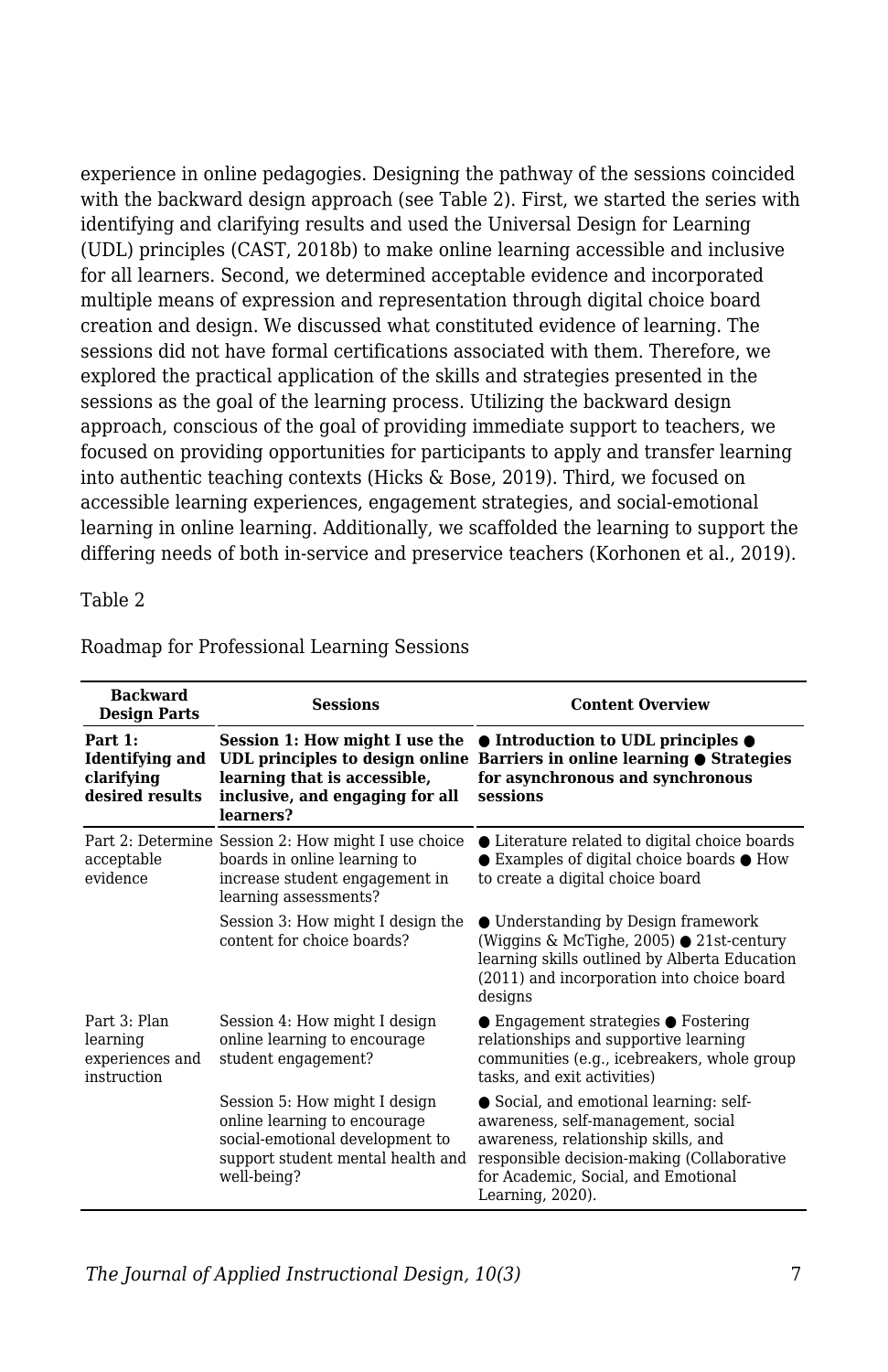experience in online pedagogies. Designing the pathway of the sessions coincided with the backward design approach (see Table 2). First, we started the series with identifying and clarifying results and used the Universal Design for Learning (UDL) principles (CAST, 2018b) to make online learning accessible and inclusive for all learners. Second, we determined acceptable evidence and incorporated multiple means of expression and representation through digital choice board creation and design. We discussed what constituted evidence of learning. The sessions did not have formal certifications associated with them. Therefore, we explored the practical application of the skills and strategies presented in the sessions as the goal of the learning process. Utilizing the backward design approach, conscious of the goal of providing immediate support to teachers, we focused on providing opportunities for participants to apply and transfer learning into authentic teaching contexts (Hicks & Bose, 2019). Third, we focused on accessible learning experiences, engagement strategies, and social-emotional learning in online learning. Additionally, we scaffolded the learning to support the differing needs of both in-service and preservice teachers (Korhonen et al., 2019).

Table 2

| <b>Backward</b><br><b>Design Parts</b>                        | <b>Sessions</b>                                                                                                                                      | <b>Content Overview</b>                                                                                                                                                                                                       |
|---------------------------------------------------------------|------------------------------------------------------------------------------------------------------------------------------------------------------|-------------------------------------------------------------------------------------------------------------------------------------------------------------------------------------------------------------------------------|
| Part $1:$<br>Identifying and<br>clarifying<br>desired results | learning that is accessible,<br>inclusive, and engaging for all<br>learners?                                                                         | Session 1: How might I use the $\bullet$ Introduction to UDL principles $\bullet$<br>UDL principles to design online Barriers in online learning • Strategies<br>for asynchronous and synchronous<br>sessions                 |
| acceptable<br>evidence                                        | Part 2: Determine Session 2: How might I use choice<br>boards in online learning to<br>increase student engagement in<br>learning assessments?       | • Literature related to digital choice boards<br>$\bullet$ Examples of digital choice boards $\bullet$ How<br>to create a digital choice board                                                                                |
|                                                               | Session 3: How might I design the<br>content for choice boards?                                                                                      | • Understanding by Design framework<br>(Wiggins & McTighe, 2005) $\bullet$ 21st-century<br>learning skills outlined by Alberta Education<br>(2011) and incorporation into choice board<br>designs                             |
| Part 3: Plan<br>learning<br>experiences and<br>instruction    | Session 4: How might I design<br>online learning to encourage<br>student engagement?                                                                 | $\bullet$ Engagement strategies $\bullet$ Fostering<br>relationships and supportive learning<br>communities (e.g., icebreakers, whole group<br>tasks, and exit activities)                                                    |
|                                                               | Session 5: How might I design<br>online learning to encourage<br>social-emotional development to<br>support student mental health and<br>well-being? | • Social, and emotional learning: self-<br>awareness, self-management, social<br>awareness, relationship skills, and<br>responsible decision-making (Collaborative<br>for Academic, Social, and Emotional<br>Learning, 2020). |

Roadmap for Professional Learning Sessions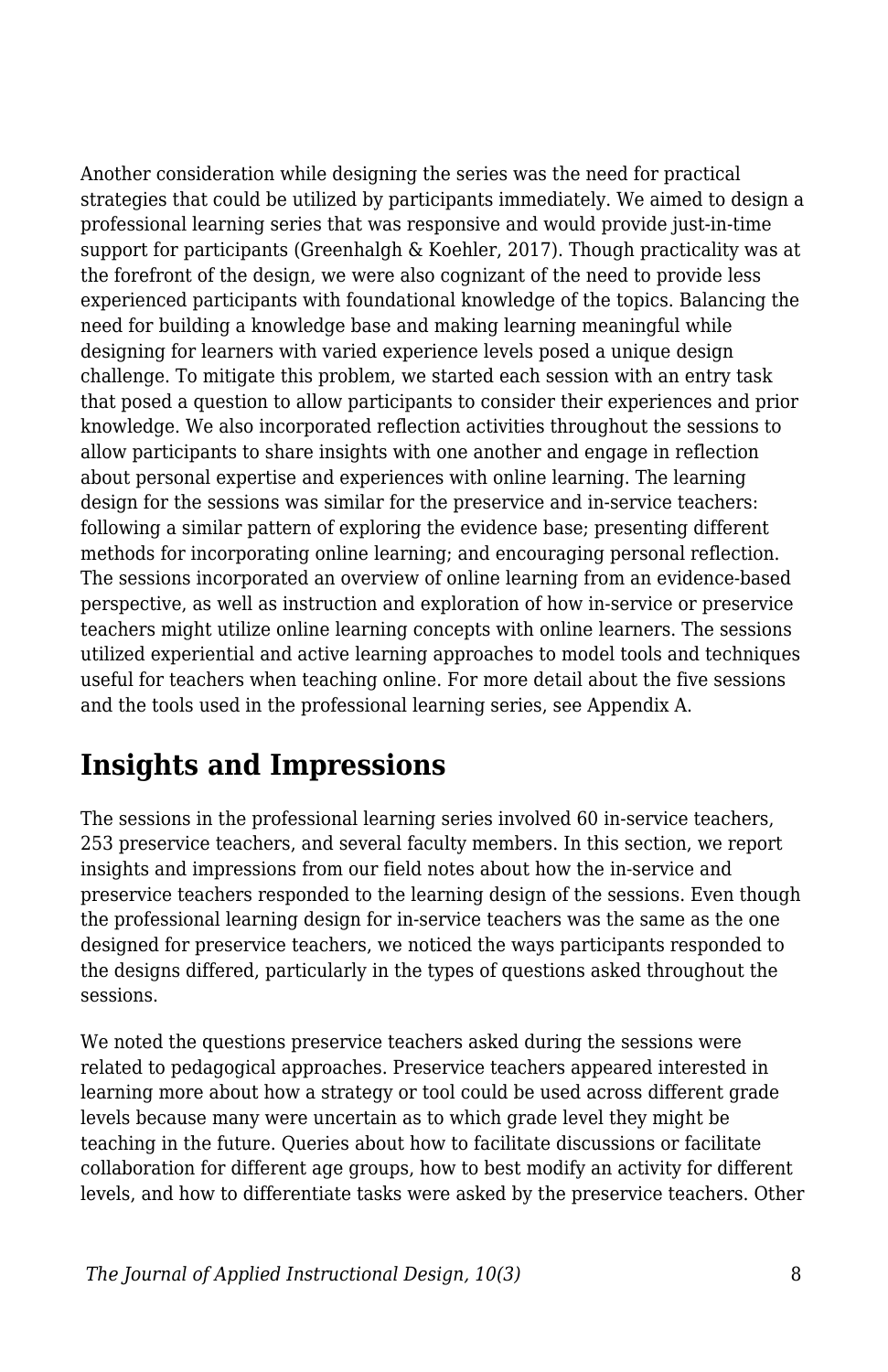Another consideration while designing the series was the need for practical strategies that could be utilized by participants immediately. We aimed to design a professional learning series that was responsive and would provide just-in-time support for participants (Greenhalgh & Koehler, 2017). Though practicality was at the forefront of the design, we were also cognizant of the need to provide less experienced participants with foundational knowledge of the topics. Balancing the need for building a knowledge base and making learning meaningful while designing for learners with varied experience levels posed a unique design challenge. To mitigate this problem, we started each session with an entry task that posed a question to allow participants to consider their experiences and prior knowledge. We also incorporated reflection activities throughout the sessions to allow participants to share insights with one another and engage in reflection about personal expertise and experiences with online learning. The learning design for the sessions was similar for the preservice and in-service teachers: following a similar pattern of exploring the evidence base; presenting different methods for incorporating online learning; and encouraging personal reflection. The sessions incorporated an overview of online learning from an evidence-based perspective, as well as instruction and exploration of how in-service or preservice teachers might utilize online learning concepts with online learners. The sessions utilized experiential and active learning approaches to model tools and techniques useful for teachers when teaching online. For more detail about the five sessions and the tools used in the professional learning series, see Appendix A.

## **Insights and Impressions**

The sessions in the professional learning series involved 60 in-service teachers, 253 preservice teachers, and several faculty members. In this section, we report insights and impressions from our field notes about how the in-service and preservice teachers responded to the learning design of the sessions. Even though the professional learning design for in-service teachers was the same as the one designed for preservice teachers, we noticed the ways participants responded to the designs differed, particularly in the types of questions asked throughout the sessions.

We noted the questions preservice teachers asked during the sessions were related to pedagogical approaches. Preservice teachers appeared interested in learning more about how a strategy or tool could be used across different grade levels because many were uncertain as to which grade level they might be teaching in the future. Queries about how to facilitate discussions or facilitate collaboration for different age groups, how to best modify an activity for different levels, and how to differentiate tasks were asked by the preservice teachers. Other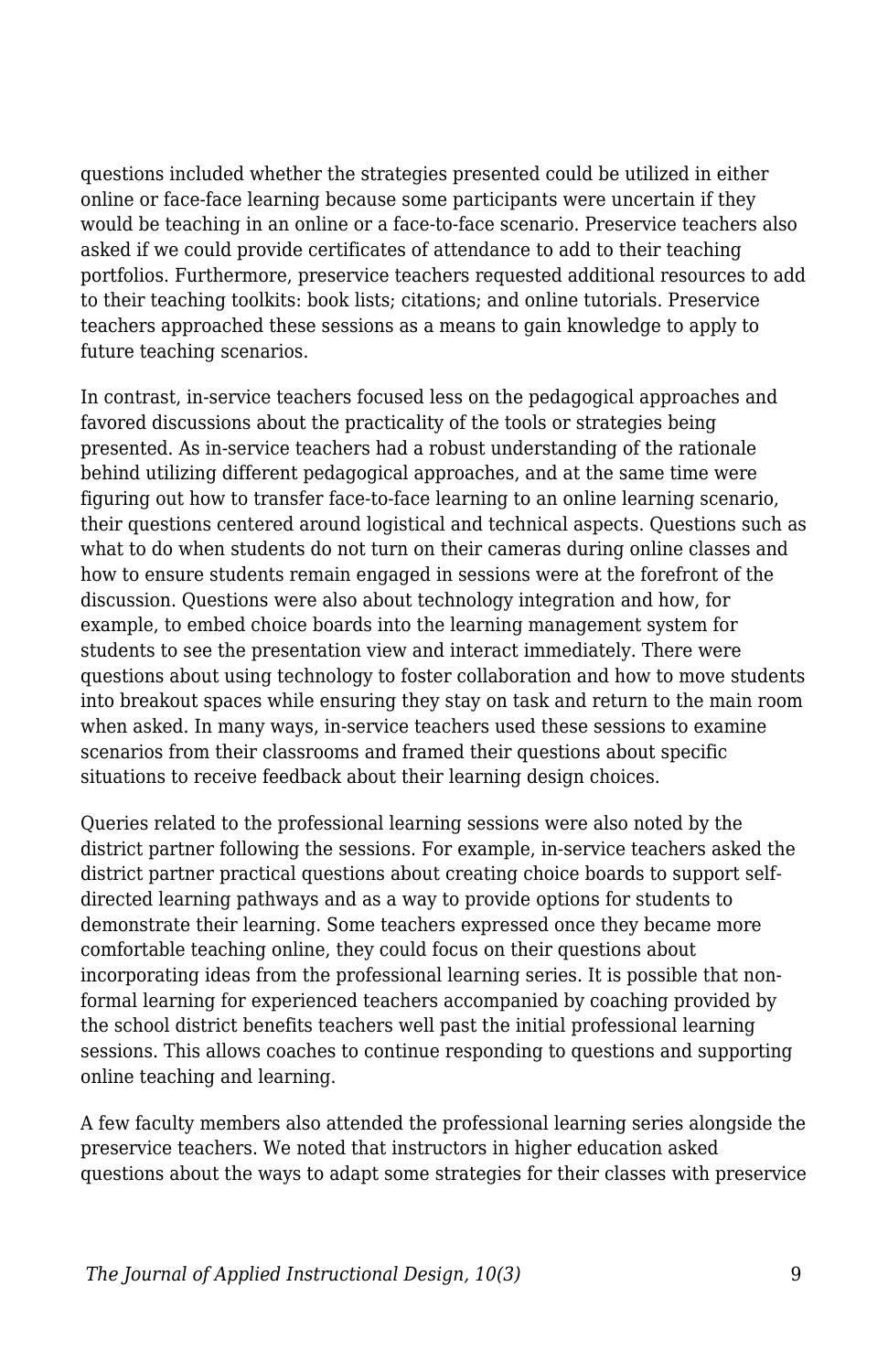questions included whether the strategies presented could be utilized in either online or face-face learning because some participants were uncertain if they would be teaching in an online or a face-to-face scenario. Preservice teachers also asked if we could provide certificates of attendance to add to their teaching portfolios. Furthermore, preservice teachers requested additional resources to add to their teaching toolkits: book lists; citations; and online tutorials. Preservice teachers approached these sessions as a means to gain knowledge to apply to future teaching scenarios.

In contrast, in-service teachers focused less on the pedagogical approaches and favored discussions about the practicality of the tools or strategies being presented. As in-service teachers had a robust understanding of the rationale behind utilizing different pedagogical approaches, and at the same time were figuring out how to transfer face-to-face learning to an online learning scenario, their questions centered around logistical and technical aspects. Questions such as what to do when students do not turn on their cameras during online classes and how to ensure students remain engaged in sessions were at the forefront of the discussion. Questions were also about technology integration and how, for example, to embed choice boards into the learning management system for students to see the presentation view and interact immediately. There were questions about using technology to foster collaboration and how to move students into breakout spaces while ensuring they stay on task and return to the main room when asked. In many ways, in-service teachers used these sessions to examine scenarios from their classrooms and framed their questions about specific situations to receive feedback about their learning design choices.

Queries related to the professional learning sessions were also noted by the district partner following the sessions. For example, in-service teachers asked the district partner practical questions about creating choice boards to support selfdirected learning pathways and as a way to provide options for students to demonstrate their learning*.* Some teachers expressed once they became more comfortable teaching online, they could focus on their questions about incorporating ideas from the professional learning series. It is possible that nonformal learning for experienced teachers accompanied by coaching provided by the school district benefits teachers well past the initial professional learning sessions. This allows coaches to continue responding to questions and supporting online teaching and learning.

A few faculty members also attended the professional learning series alongside the preservice teachers. We noted that instructors in higher education asked questions about the ways to adapt some strategies for their classes with preservice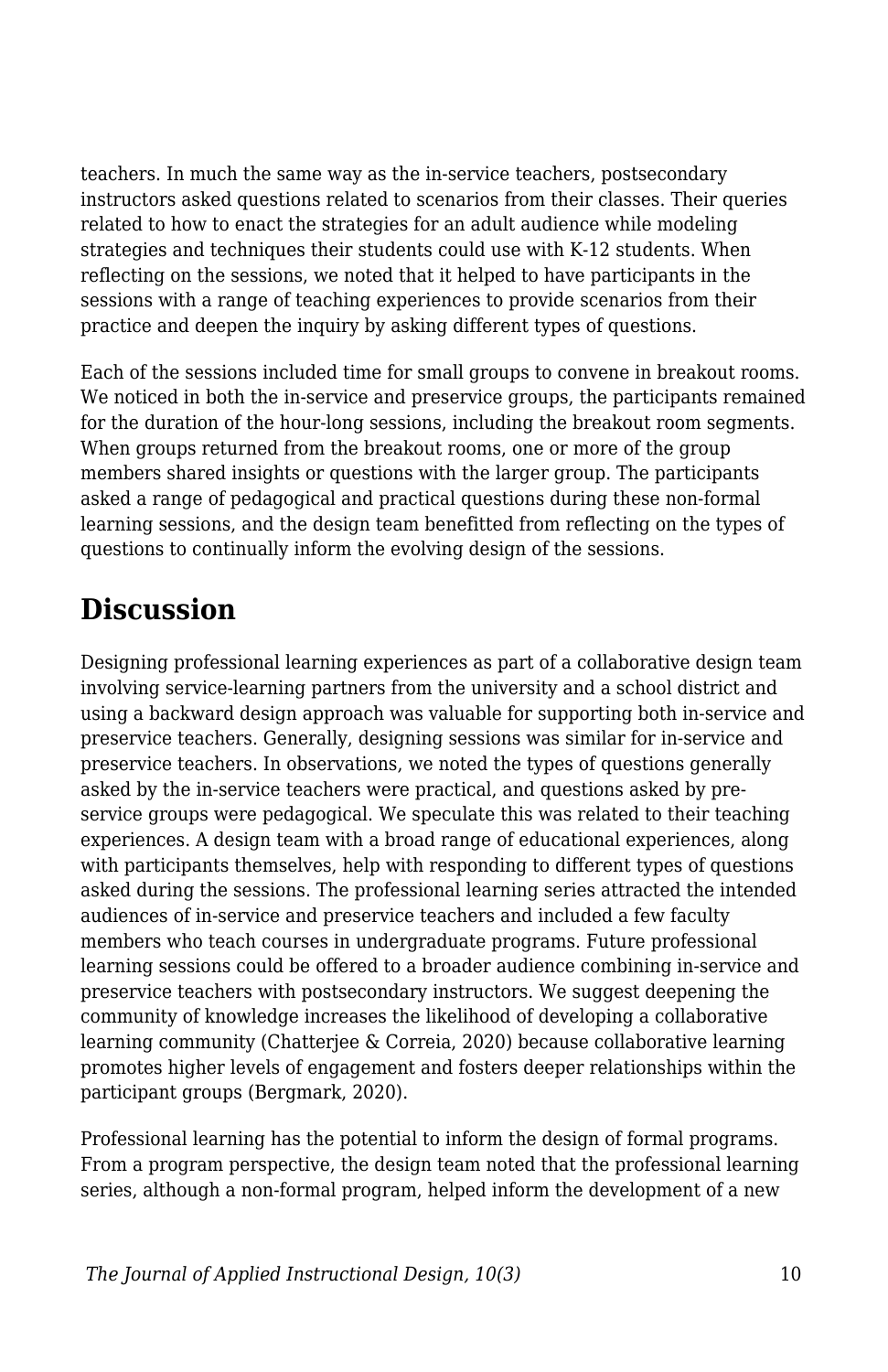teachers. In much the same way as the in-service teachers, postsecondary instructors asked questions related to scenarios from their classes. Their queries related to how to enact the strategies for an adult audience while modeling strategies and techniques their students could use with K-12 students. When reflecting on the sessions, we noted that it helped to have participants in the sessions with a range of teaching experiences to provide scenarios from their practice and deepen the inquiry by asking different types of questions.

Each of the sessions included time for small groups to convene in breakout rooms. We noticed in both the in-service and preservice groups, the participants remained for the duration of the hour-long sessions, including the breakout room segments. When groups returned from the breakout rooms, one or more of the group members shared insights or questions with the larger group. The participants asked a range of pedagogical and practical questions during these non-formal learning sessions, and the design team benefitted from reflecting on the types of questions to continually inform the evolving design of the sessions.

#### **Discussion**

Designing professional learning experiences as part of a collaborative design team involving service-learning partners from the university and a school district and using a backward design approach was valuable for supporting both in-service and preservice teachers. Generally, designing sessions was similar for in-service and preservice teachers. In observations, we noted the types of questions generally asked by the in-service teachers were practical, and questions asked by preservice groups were pedagogical. We speculate this was related to their teaching experiences. A design team with a broad range of educational experiences, along with participants themselves, help with responding to different types of questions asked during the sessions. The professional learning series attracted the intended audiences of in-service and preservice teachers and included a few faculty members who teach courses in undergraduate programs. Future professional learning sessions could be offered to a broader audience combining in-service and preservice teachers with postsecondary instructors. We suggest deepening the community of knowledge increases the likelihood of developing a collaborative learning community (Chatterjee & Correia, 2020) because collaborative learning promotes higher levels of engagement and fosters deeper relationships within the participant groups (Bergmark, 2020).

Professional learning has the potential to inform the design of formal programs. From a program perspective, the design team noted that the professional learning series, although a non-formal program, helped inform the development of a new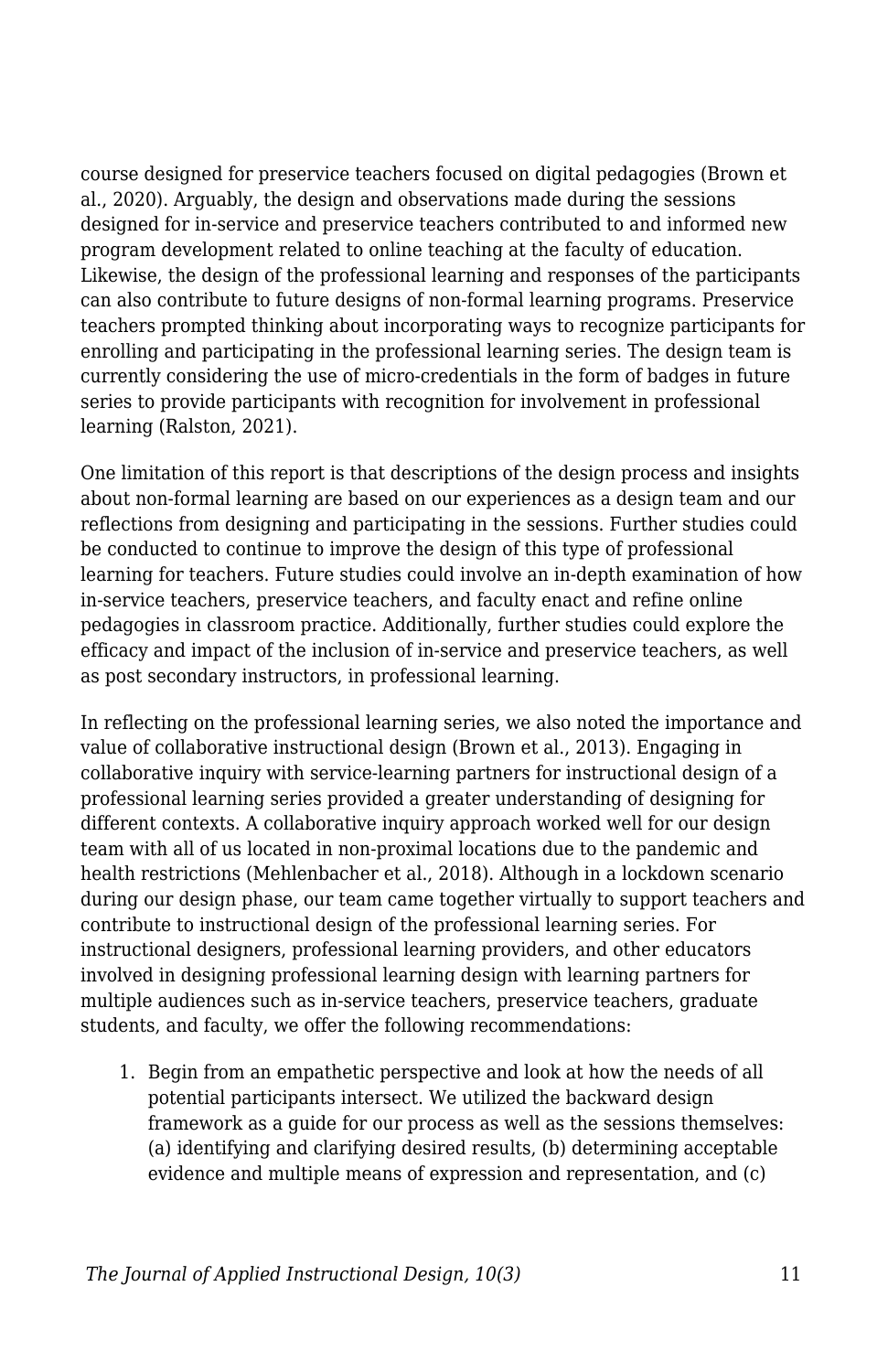course designed for preservice teachers focused on digital pedagogies (Brown et al., 2020). Arguably, the design and observations made during the sessions designed for in-service and preservice teachers contributed to and informed new program development related to online teaching at the faculty of education. Likewise, the design of the professional learning and responses of the participants can also contribute to future designs of non-formal learning programs. Preservice teachers prompted thinking about incorporating ways to recognize participants for enrolling and participating in the professional learning series. The design team is currently considering the use of micro-credentials in the form of badges in future series to provide participants with recognition for involvement in professional learning (Ralston, 2021).

One limitation of this report is that descriptions of the design process and insights about non-formal learning are based on our experiences as a design team and our reflections from designing and participating in the sessions. Further studies could be conducted to continue to improve the design of this type of professional learning for teachers. Future studies could involve an in-depth examination of how in-service teachers, preservice teachers, and faculty enact and refine online pedagogies in classroom practice. Additionally, further studies could explore the efficacy and impact of the inclusion of in-service and preservice teachers, as well as post secondary instructors, in professional learning.

In reflecting on the professional learning series, we also noted the importance and value of collaborative instructional design (Brown et al., 2013). Engaging in collaborative inquiry with service-learning partners for instructional design of a professional learning series provided a greater understanding of designing for different contexts. A collaborative inquiry approach worked well for our design team with all of us located in non-proximal locations due to the pandemic and health restrictions (Mehlenbacher et al., 2018). Although in a lockdown scenario during our design phase, our team came together virtually to support teachers and contribute to instructional design of the professional learning series. For instructional designers, professional learning providers, and other educators involved in designing professional learning design with learning partners for multiple audiences such as in-service teachers, preservice teachers, graduate students, and faculty, we offer the following recommendations:

1. Begin from an empathetic perspective and look at how the needs of all potential participants intersect. We utilized the backward design framework as a guide for our process as well as the sessions themselves: (a) identifying and clarifying desired results, (b) determining acceptable evidence and multiple means of expression and representation, and (c)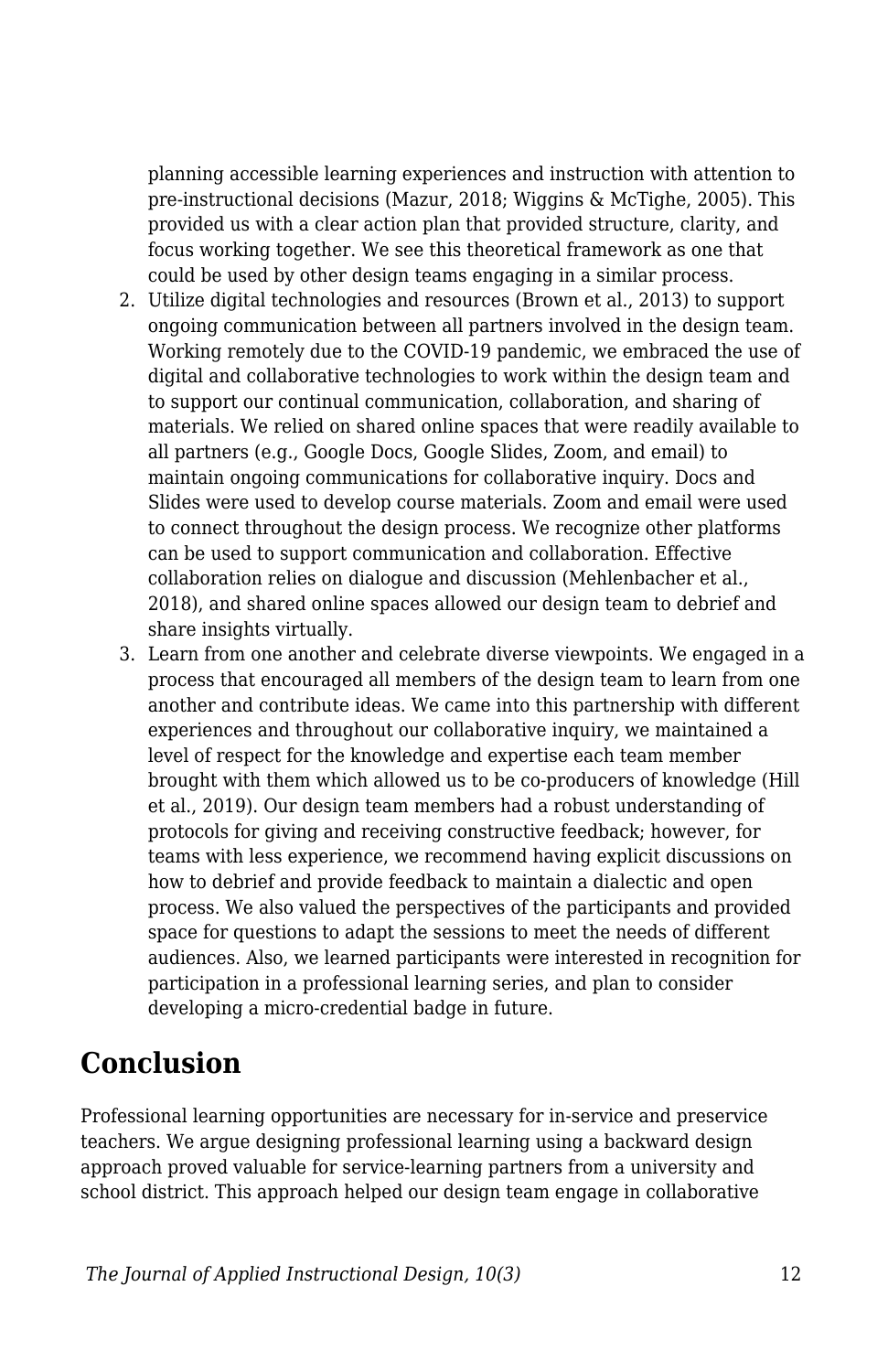planning accessible learning experiences and instruction with attention to pre-instructional decisions (Mazur, 2018; Wiggins & McTighe, 2005). This provided us with a clear action plan that provided structure, clarity, and focus working together. We see this theoretical framework as one that could be used by other design teams engaging in a similar process.

- 2. Utilize digital technologies and resources (Brown et al., 2013) to support ongoing communication between all partners involved in the design team. Working remotely due to the COVID-19 pandemic, we embraced the use of digital and collaborative technologies to work within the design team and to support our continual communication, collaboration, and sharing of materials. We relied on shared online spaces that were readily available to all partners (e.g., Google Docs, Google Slides, Zoom, and email) to maintain ongoing communications for collaborative inquiry. Docs and Slides were used to develop course materials. Zoom and email were used to connect throughout the design process. We recognize other platforms can be used to support communication and collaboration. Effective collaboration relies on dialogue and discussion (Mehlenbacher et al., 2018), and shared online spaces allowed our design team to debrief and share insights virtually.
- 3. Learn from one another and celebrate diverse viewpoints. We engaged in a process that encouraged all members of the design team to learn from one another and contribute ideas. We came into this partnership with different experiences and throughout our collaborative inquiry, we maintained a level of respect for the knowledge and expertise each team member brought with them which allowed us to be co-producers of knowledge (Hill et al., 2019). Our design team members had a robust understanding of protocols for giving and receiving constructive feedback; however, for teams with less experience, we recommend having explicit discussions on how to debrief and provide feedback to maintain a dialectic and open process. We also valued the perspectives of the participants and provided space for questions to adapt the sessions to meet the needs of different audiences. Also, we learned participants were interested in recognition for participation in a professional learning series, and plan to consider developing a micro-credential badge in future.

### **Conclusion**

Professional learning opportunities are necessary for in-service and preservice teachers. We argue designing professional learning using a backward design approach proved valuable for service-learning partners from a university and school district. This approach helped our design team engage in collaborative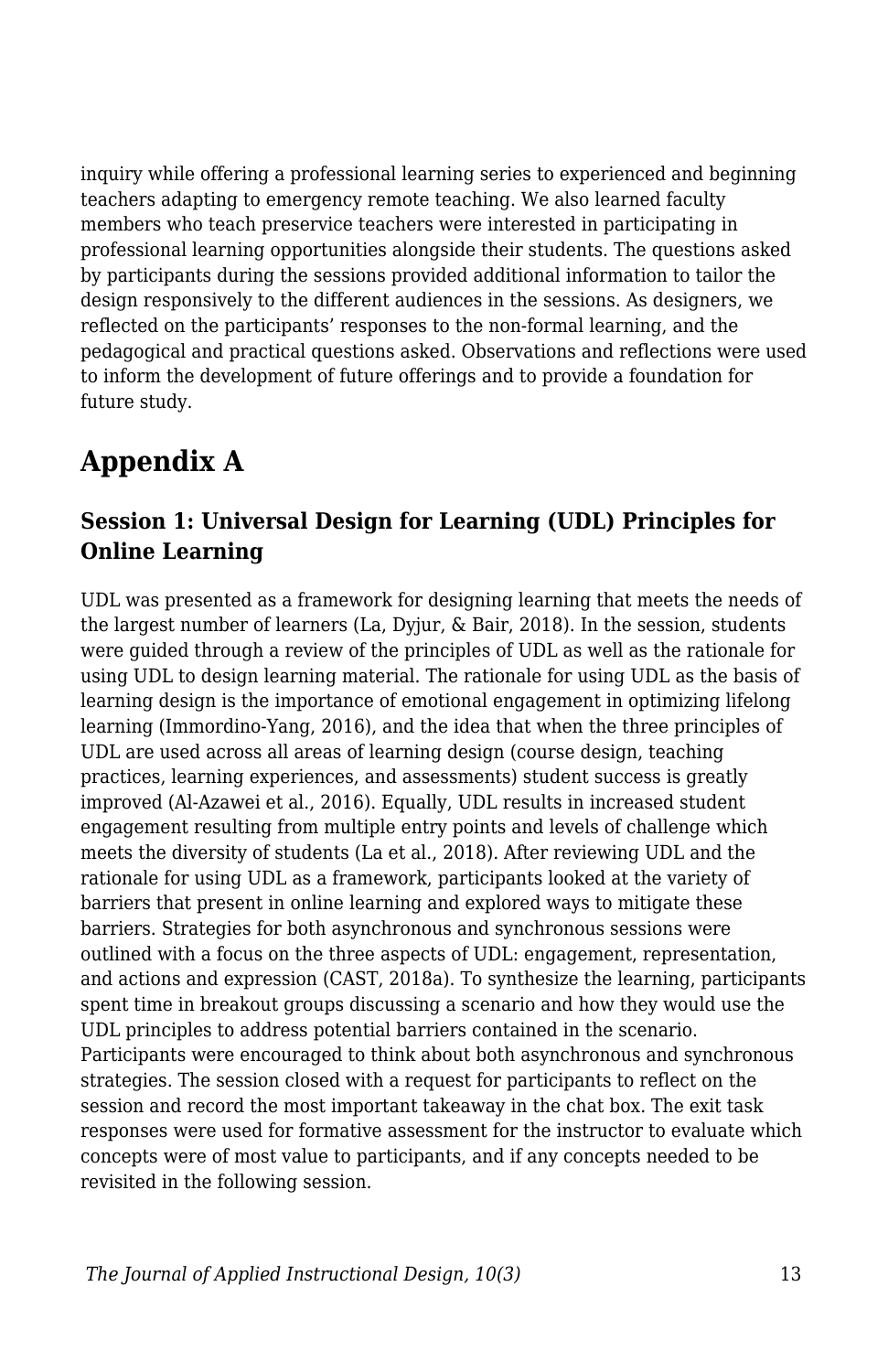inquiry while offering a professional learning series to experienced and beginning teachers adapting to emergency remote teaching. We also learned faculty members who teach preservice teachers were interested in participating in professional learning opportunities alongside their students. The questions asked by participants during the sessions provided additional information to tailor the design responsively to the different audiences in the sessions. As designers, we reflected on the participants' responses to the non-formal learning, and the pedagogical and practical questions asked. Observations and reflections were used to inform the development of future offerings and to provide a foundation for future study.

### **Appendix A**

#### **Session 1: Universal Design for Learning (UDL) Principles for Online Learning**

UDL was presented as a framework for designing learning that meets the needs of the largest number of learners (La, Dyjur, & Bair, 2018). In the session, students were guided through a review of the principles of UDL as well as the rationale for using UDL to design learning material. The rationale for using UDL as the basis of learning design is the importance of emotional engagement in optimizing lifelong learning (Immordino-Yang, 2016), and the idea that when the three principles of UDL are used across all areas of learning design (course design, teaching practices, learning experiences, and assessments) student success is greatly improved (Al-Azawei et al., 2016). Equally, UDL results in increased student engagement resulting from multiple entry points and levels of challenge which meets the diversity of students (La et al., 2018). After reviewing UDL and the rationale for using UDL as a framework, participants looked at the variety of barriers that present in online learning and explored ways to mitigate these barriers. Strategies for both asynchronous and synchronous sessions were outlined with a focus on the three aspects of UDL: engagement, representation, and actions and expression (CAST, 2018a). To synthesize the learning, participants spent time in breakout groups discussing a scenario and how they would use the UDL principles to address potential barriers contained in the scenario. Participants were encouraged to think about both asynchronous and synchronous strategies. The session closed with a request for participants to reflect on the session and record the most important takeaway in the chat box. The exit task responses were used for formative assessment for the instructor to evaluate which concepts were of most value to participants, and if any concepts needed to be revisited in the following session.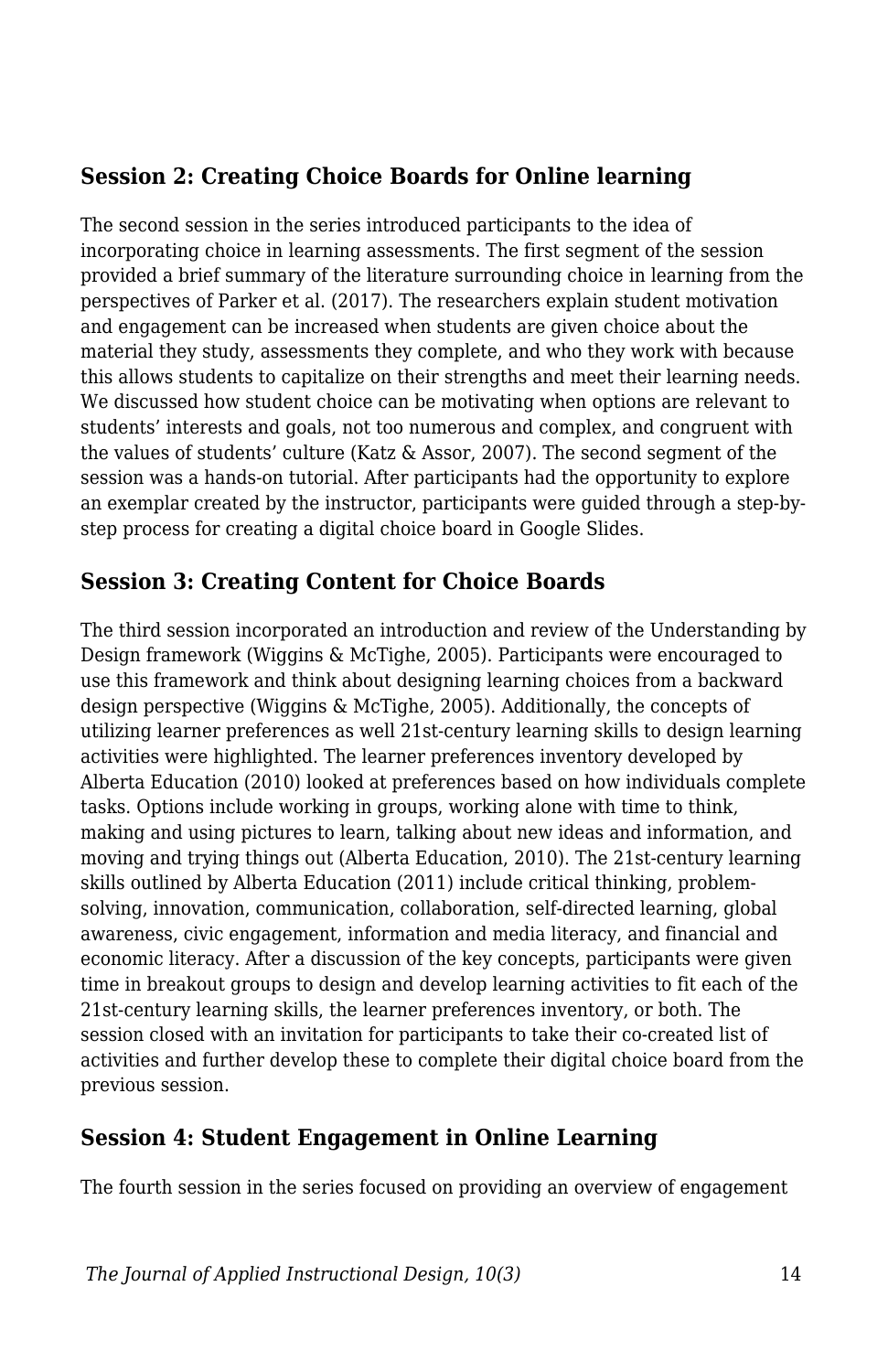#### **Session 2: Creating Choice Boards for Online learning**

The second session in the series introduced participants to the idea of incorporating choice in learning assessments. The first segment of the session provided a brief summary of the literature surrounding choice in learning from the perspectives of Parker et al. (2017). The researchers explain student motivation and engagement can be increased when students are given choice about the material they study, assessments they complete, and who they work with because this allows students to capitalize on their strengths and meet their learning needs. We discussed how student choice can be motivating when options are relevant to students' interests and goals, not too numerous and complex, and congruent with the values of students' culture (Katz & Assor, 2007). The second segment of the session was a hands-on tutorial. After participants had the opportunity to explore an exemplar created by the instructor, participants were guided through a step-bystep process for creating a digital choice board in Google Slides.

#### **Session 3: Creating Content for Choice Boards**

The third session incorporated an introduction and review of the Understanding by Design framework (Wiggins & McTighe, 2005). Participants were encouraged to use this framework and think about designing learning choices from a backward design perspective (Wiggins & McTighe, 2005). Additionally, the concepts of utilizing learner preferences as well 21st-century learning skills to design learning activities were highlighted. The learner preferences inventory developed by Alberta Education (2010) looked at preferences based on how individuals complete tasks. Options include working in groups, working alone with time to think, making and using pictures to learn, talking about new ideas and information, and moving and trying things out (Alberta Education, 2010). The 21st-century learning skills outlined by Alberta Education (2011) include critical thinking, problemsolving, innovation, communication, collaboration, self-directed learning, global awareness, civic engagement, information and media literacy, and financial and economic literacy. After a discussion of the key concepts, participants were given time in breakout groups to design and develop learning activities to fit each of the 21st-century learning skills, the learner preferences inventory, or both. The session closed with an invitation for participants to take their co-created list of activities and further develop these to complete their digital choice board from the previous session.

#### **Session 4: Student Engagement in Online Learning**

The fourth session in the series focused on providing an overview of engagement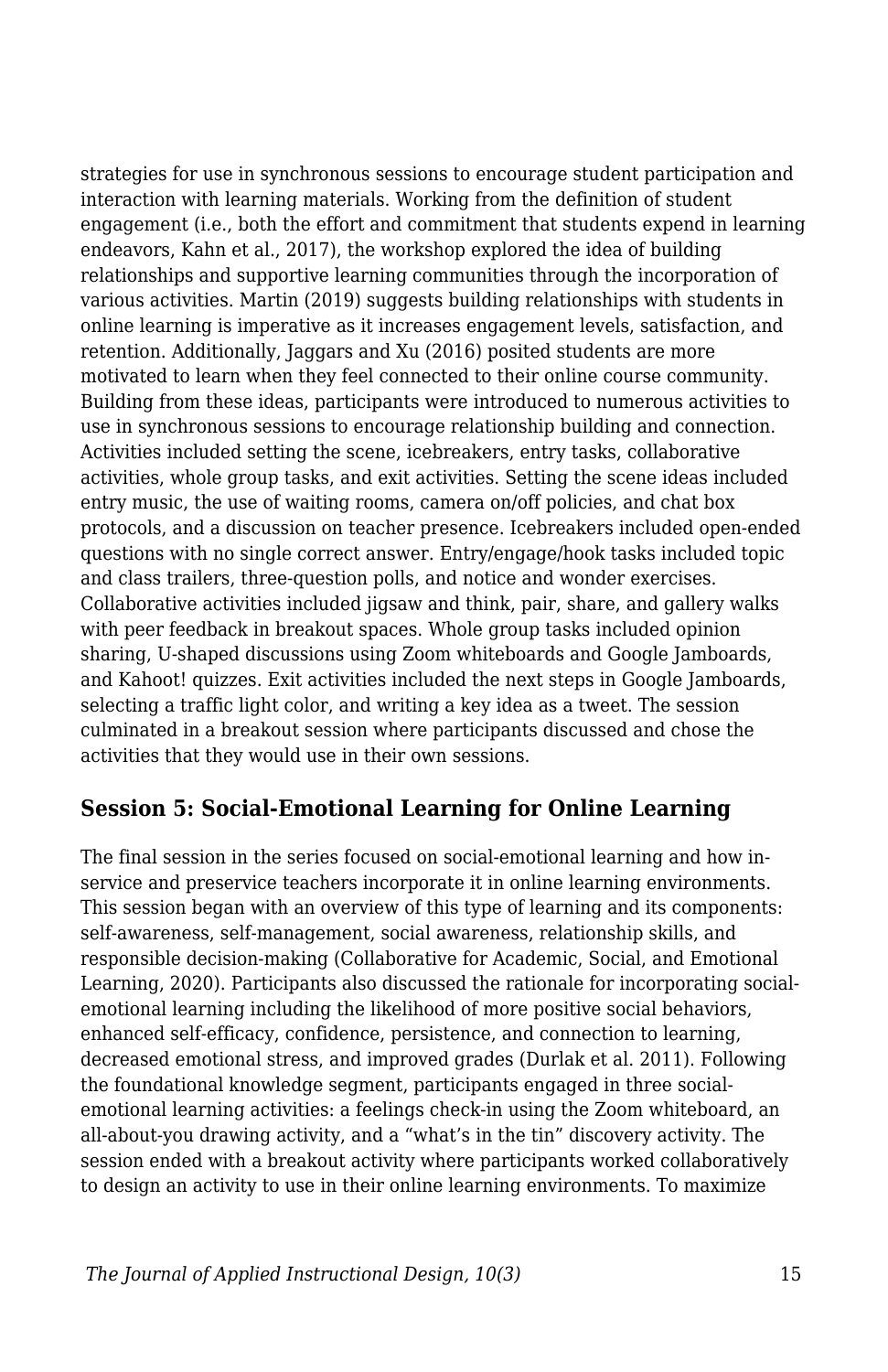strategies for use in synchronous sessions to encourage student participation and interaction with learning materials. Working from the definition of student engagement (i.e., both the effort and commitment that students expend in learning endeavors, Kahn et al., 2017), the workshop explored the idea of building relationships and supportive learning communities through the incorporation of various activities. Martin (2019) suggests building relationships with students in online learning is imperative as it increases engagement levels, satisfaction, and retention. Additionally, Jaggars and Xu (2016) posited students are more motivated to learn when they feel connected to their online course community. Building from these ideas, participants were introduced to numerous activities to use in synchronous sessions to encourage relationship building and connection. Activities included setting the scene, icebreakers, entry tasks, collaborative activities, whole group tasks, and exit activities. Setting the scene ideas included entry music, the use of waiting rooms, camera on/off policies, and chat box protocols, and a discussion on teacher presence. Icebreakers included open-ended questions with no single correct answer. Entry/engage/hook tasks included topic and class trailers, three-question polls, and notice and wonder exercises. Collaborative activities included jigsaw and think, pair, share, and gallery walks with peer feedback in breakout spaces. Whole group tasks included opinion sharing, U-shaped discussions using Zoom whiteboards and Google Jamboards, and Kahoot! quizzes. Exit activities included the next steps in Google Jamboards, selecting a traffic light color, and writing a key idea as a tweet. The session culminated in a breakout session where participants discussed and chose the activities that they would use in their own sessions.

#### **Session 5: Social-Emotional Learning for Online Learning**

The final session in the series focused on social-emotional learning and how inservice and preservice teachers incorporate it in online learning environments. This session began with an overview of this type of learning and its components: self-awareness, self-management, social awareness, relationship skills, and responsible decision-making (Collaborative for Academic, Social, and Emotional Learning, 2020). Participants also discussed the rationale for incorporating socialemotional learning including the likelihood of more positive social behaviors, enhanced self-efficacy, confidence, persistence, and connection to learning, decreased emotional stress, and improved grades (Durlak et al. 2011). Following the foundational knowledge segment, participants engaged in three socialemotional learning activities: a feelings check-in using the Zoom whiteboard, an all-about-you drawing activity, and a "what's in the tin" discovery activity. The session ended with a breakout activity where participants worked collaboratively to design an activity to use in their online learning environments. To maximize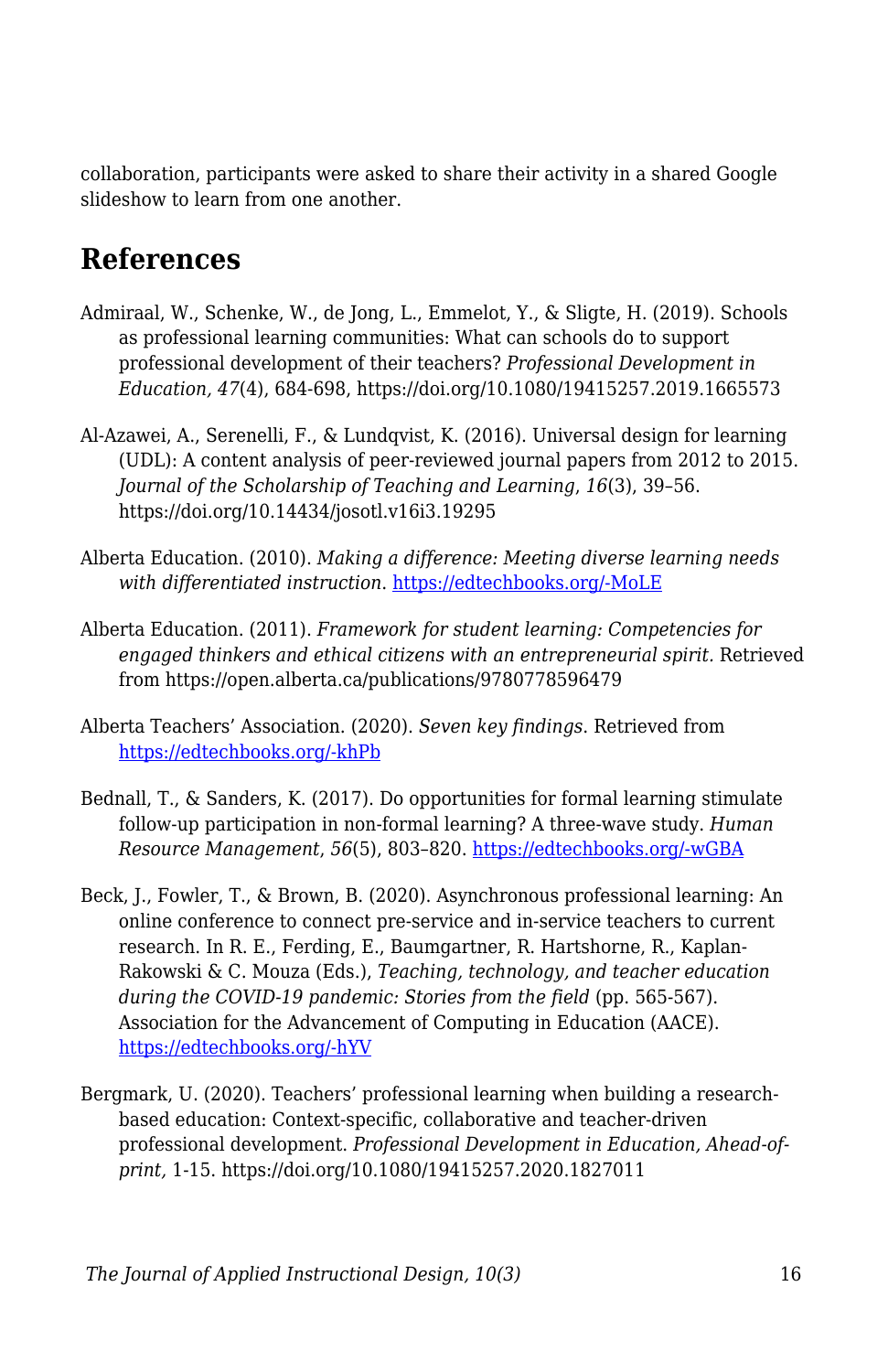collaboration, participants were asked to share their activity in a shared Google slideshow to learn from one another.

### **References**

- Admiraal, W., Schenke, W., de Jong, L., Emmelot, Y., & Sligte, H. (2019). Schools as professional learning communities: What can schools do to support professional development of their teachers? *Professional Development in Education, 47*(4), 684-698, https://doi.org/10.1080/19415257.2019.1665573
- Al-Azawei, A., Serenelli, F., & Lundqvist, K. (2016). Universal design for learning (UDL): A content analysis of peer-reviewed journal papers from 2012 to 2015. *Journal of the Scholarship of Teaching and Learning*, *16*(3), 39–56. https://doi.org/10.14434/josotl.v16i3.19295
- Alberta Education. (2010). *Making a difference: Meeting diverse learning needs with differentiated instruction*. [https://edtechbooks.org/-MoLE](https://education.alberta.ca/media/384968/makingadifference_2010.pdf)
- Alberta Education. (2011). *Framework for student learning: Competencies for engaged thinkers and ethical citizens with an entrepreneurial spirit.* Retrieved from https://open.alberta.ca/publications/9780778596479
- Alberta Teachers' Association. (2020). *Seven key findings*. Retrieved from [https://edtechbooks.org/-khPb](https://www.teachers.ab.ca/SiteCollectionDocuments/ATA/News%20and%20Info/Issues/COVID-19/Infographic%20-%20ATAPandemicPulseSurvey2.pdf)
- Bednall, T., & Sanders, K. (2017). Do opportunities for formal learning stimulate follow‐up participation in non-formal learning? A three‐wave study. *Human Resource Management*, *56*(5), 803–820. [https://edtechbooks.org/-wGBA](https://doi.org/10.1002/hrm.21800)
- Beck, J., Fowler, T., & Brown, B. (2020). Asynchronous professional learning: An online conference to connect pre-service and in-service teachers to current research. In R. E., Ferding, E., Baumgartner, R. Hartshorne, R., Kaplan-Rakowski & C. Mouza (Eds.), *Teaching, technology, and teacher education during the COVID-19 pandemic: Stories from the field* (pp. 565-567). Association for the Advancement of Computing in Education (AACE). [https://edtechbooks.org/-hYV](https://www.learntechlib.org/p/216903/)
- Bergmark, U. (2020). Teachers' professional learning when building a researchbased education: Context-specific, collaborative and teacher-driven professional development. *Professional Development in Education, Ahead-ofprint,* 1-15. https://doi.org/10.1080/19415257.2020.1827011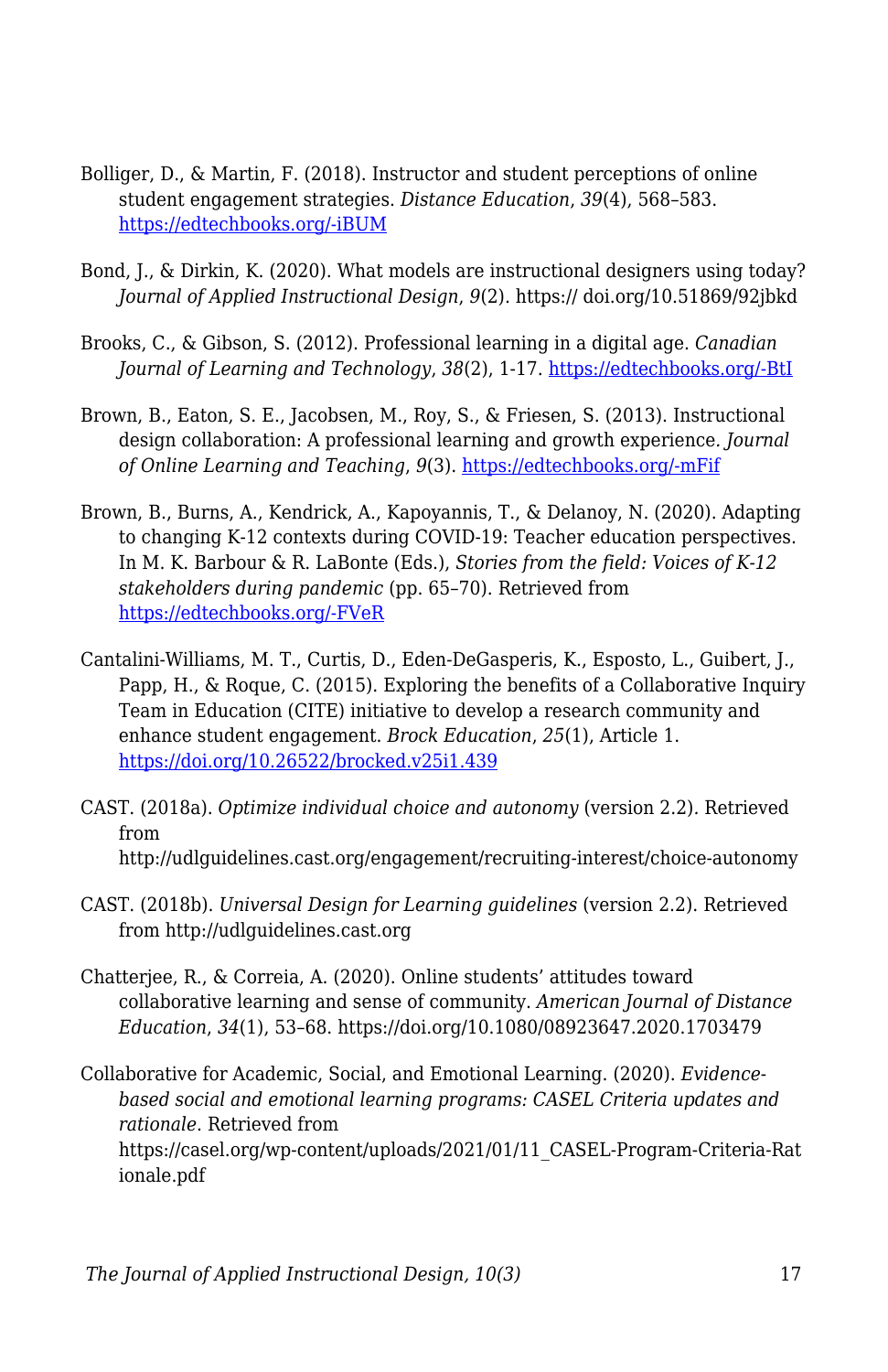- Bolliger, D., & Martin, F. (2018). Instructor and student perceptions of online student engagement strategies. *Distance Education*, *39*(4), 568–583. [https://edtechbooks.org/-iBUM](https://doi.org/10.1080/01587919.2018.1520041)
- Bond, J., & Dirkin, K. (2020). What models are instructional designers using today? *Journal of Applied Instructional Design*, *9*(2). https:// doi.org/10.51869/92jbkd
- Brooks, C., & Gibson, S. (2012). Professional learning in a digital age. *Canadian Journal of Learning and Technology*, *38*(2), 1-17. [https://edtechbooks.org/-BtI](https://doi.org/10.21432/T2HS3Q)
- Brown, B., Eaton, S. E., Jacobsen, M., Roy, S., & Friesen, S. (2013). Instructional design collaboration: A professional learning and growth experience*. Journal of Online Learning and Teaching*, *9*(3). [https://edtechbooks.org/-mFif](https://jolt.merlot.org/vol9no3/brown_0913.htm)
- Brown, B., Burns, A., Kendrick, A., Kapoyannis, T., & Delanoy, N. (2020). Adapting to changing K-12 contexts during COVID-19: Teacher education perspectives. In M. K. Barbour & R. LaBonte (Eds.), *Stories from the field: Voices of K-12 stakeholders during pandemic* (pp. 65–70). Retrieved from [https://edtechbooks.org/-FVeR](https://sites.google.com/view/canelearn-ert/)
- Cantalini-Williams, M. T., Curtis, D., Eden-DeGasperis, K., Esposto, L., Guibert, J., Papp, H., & Roque, C. (2015). Exploring the benefits of a Collaborative Inquiry Team in Education (CITE) initiative to develop a research community and enhance student engagement. *Brock Education*, *25*(1), Article 1. <https://doi.org/10.26522/brocked.v25i1.439>
- CAST. (2018a). *Optimize individual choice and autonomy* (version 2.2)*.* Retrieved from http://udlguidelines.cast.org/engagement/recruiting-interest/choice-autonomy
- CAST. (2018b). *Universal Design for Learning guidelines* (version 2.2). Retrieved from http://udlguidelines.cast.org
- Chatterjee, R., & Correia, A. (2020). Online students' attitudes toward collaborative learning and sense of community. *American Journal of Distance Education*, *34*(1), 53–68. https://doi.org/10.1080/08923647.2020.1703479
- Collaborative for Academic, Social, and Emotional Learning. (2020). *Evidencebased social and emotional learning programs: CASEL Criteria updates and rationale*. Retrieved from https://casel.org/wp-content/uploads/2021/01/11\_CASEL-Program-Criteria-Rat ionale.pdf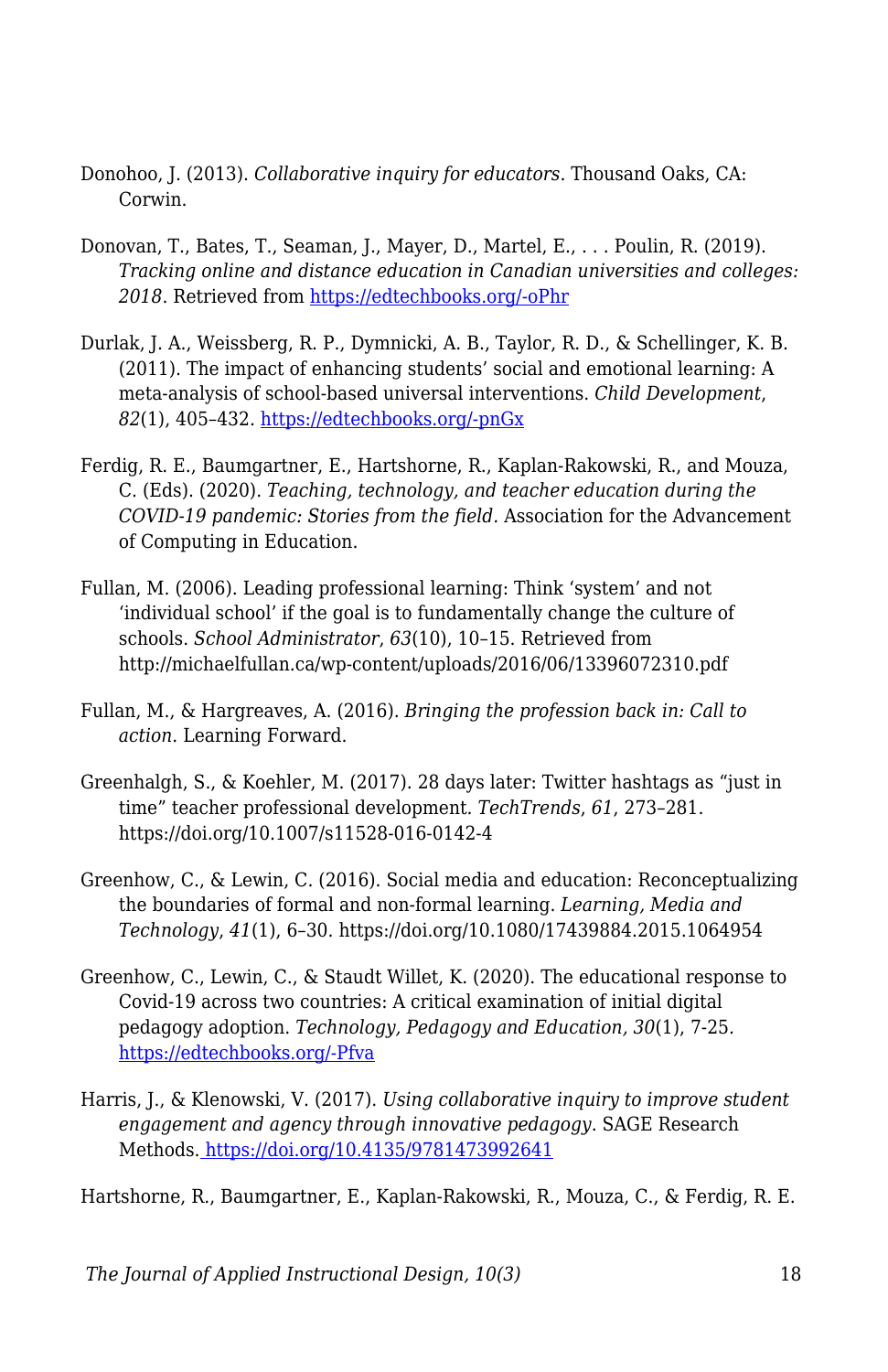- Donohoo, J. (2013). *Collaborative inquiry for educators*. Thousand Oaks, CA: Corwin.
- Donovan, T., Bates, T., Seaman, J., Mayer, D., Martel, E., . . . Poulin, R. (2019). *Tracking online and distance education in Canadian universities and colleges:* 2018. Retrieved from [https://edtechbooks.org/-oPhr](http://www.cdlra-acrfl.ca/wp-content/uploads/2020/07/2018_national_en.pdf)
- Durlak, J. A., Weissberg, R. P., Dymnicki, A. B., Taylor, R. D., & Schellinger, K. B. (2011). The impact of enhancing students' social and emotional learning: A meta-analysis of school-based universal interventions. *Child Development*, *82*(1), 405–432. [https://edtechbooks.org/-pnGx](https://doi.org/10.1111/j.1467-8624.2010.01564.x)
- Ferdig, R. E., Baumgartner, E., Hartshorne, R., Kaplan-Rakowski, R., and Mouza, C. (Eds). (2020). *Teaching, technology, and teacher education during the COVID-19 pandemic: Stories from the field.* Association for the Advancement of Computing in Education.
- Fullan, M. (2006). Leading professional learning: Think 'system' and not 'individual school' if the goal is to fundamentally change the culture of schools. *School Administrator*, *63*(10), 10–15. Retrieved from http://michaelfullan.ca/wp-content/uploads/2016/06/13396072310.pdf
- Fullan, M., & Hargreaves, A. (2016). *Bringing the profession back in: Call to action*. Learning Forward.
- Greenhalgh, S., & Koehler, M. (2017). 28 days later: Twitter hashtags as "just in time" teacher professional development. *TechTrends*, *61*, 273–281. https://doi.org/10.1007/s11528-016-0142-4
- Greenhow, C., & Lewin, C. (2016). Social media and education: Reconceptualizing the boundaries of formal and non-formal learning. *Learning, Media and Technology*, *41*(1), 6–30. https://doi.org/10.1080/17439884.2015.1064954
- Greenhow, C., Lewin, C., & Staudt Willet, K. (2020). The educational response to Covid-19 across two countries: A critical examination of initial digital pedagogy adoption. *Technology, Pedagogy and Education, 30*(1), 7-25*.* [https://edtechbooks.org/-Pfva](https://doi.org/10.1080/1475939X.2020.1866654)
- Harris, J., & Klenowski, V. (2017). *Using collaborative inquiry to improve student engagement and agency through innovative pedagogy*. SAGE Research Methods[. https://doi.org/10.4135/9781473992641](https://doi.org/10.4135/9781473992641)

Hartshorne, R., Baumgartner, E., Kaplan-Rakowski, R., Mouza, C., & Ferdig, R. E.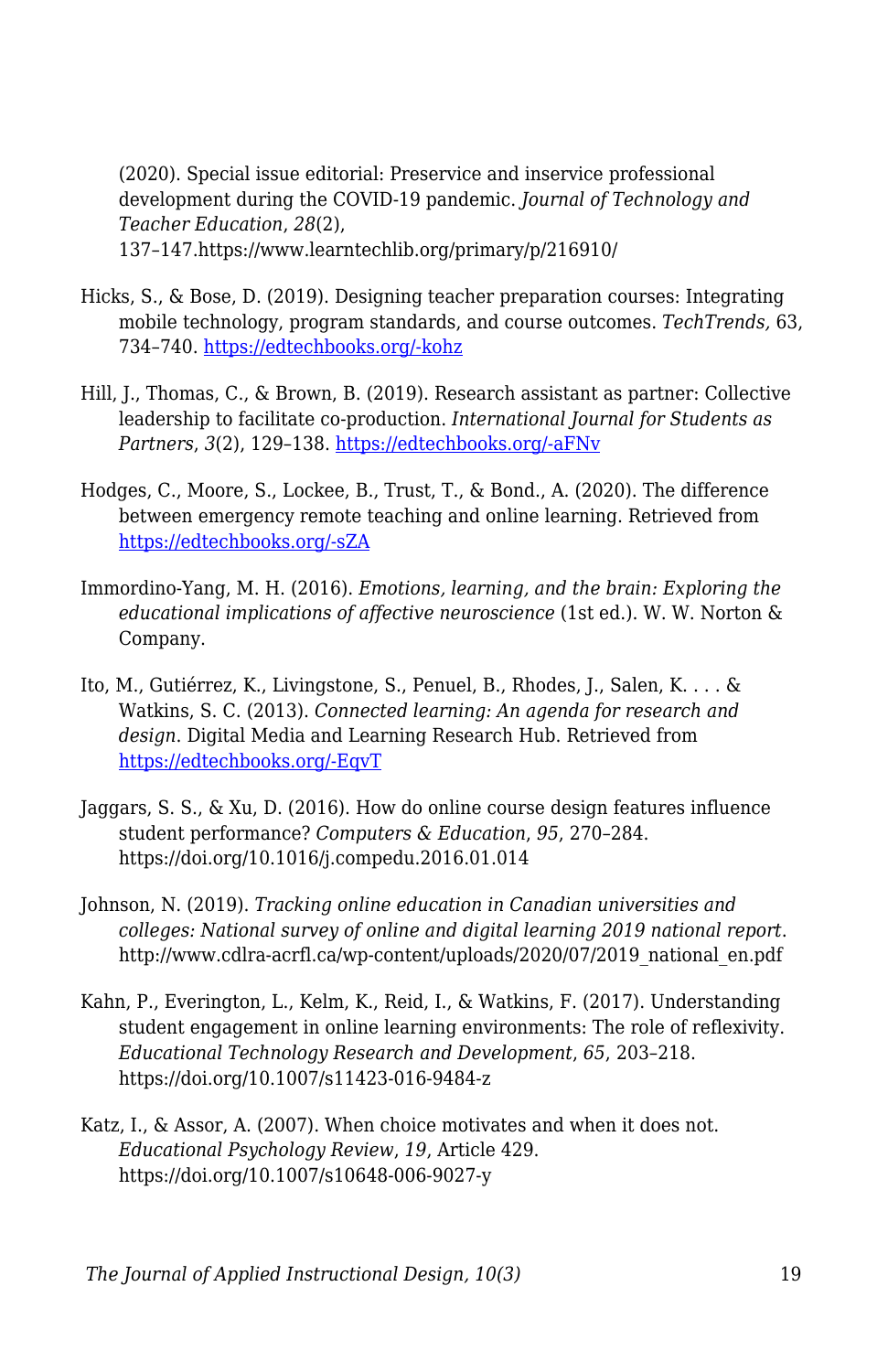(2020). Special issue editorial: Preservice and inservice professional development during the COVID-19 pandemic. *Journal of Technology and Teacher Education*, *28*(2), 137–147.https://www.learntechlib.org/primary/p/216910/

- Hicks, S., & Bose, D. (2019). Designing teacher preparation courses: Integrating mobile technology, program standards, and course outcomes. *TechTrends,* 63, 734–740. [https://edtechbooks.org/-kohz](https://doi.org/10.1007/s11528-019-00416-z)
- Hill, J., Thomas, C., & Brown, B. (2019). Research assistant as partner: Collective leadership to facilitate co-production. *International Journal for Students as Partners*, *3*(2), 129–138. [https://edtechbooks.org/-aFNv](https://doi.org/10.15173/ijsap.v3i2.3674)
- Hodges, C., Moore, S., Lockee, B., Trust, T., & Bond., A. (2020). The difference between emergency remote teaching and online learning. Retrieved from [https://edtechbooks.org/-sZA](https://er.educause.edu/articles/2020/3/the-difference-between-emergency-remote-teaching-and-online-learning)
- Immordino-Yang, M. H. (2016). *Emotions, learning, and the brain: Exploring the educational implications of affective neuroscience* (1st ed.). W. W. Norton & Company.
- Ito, M., Gutiérrez, K., Livingstone, S., Penuel, B., Rhodes, J., Salen, K. . . . & Watkins, S. C. (2013). *Connected learning: An agenda for research and design*. Digital Media and Learning Research Hub. Retrieved from [https://edtechbooks.org/-EqvT](https://dmlhub.net/wpcontent/uploads/files/Connected_Learning_report.pdf)
- Jaggars, S. S., & Xu, D. (2016). How do online course design features influence student performance? *Computers & Education*, *95*, 270–284. https://doi.org/10.1016/j.compedu.2016.01.014
- Johnson, N. (2019). *Tracking online education in Canadian universities and colleges: National survey of online and digital learning 2019 national report*. http://www.cdlra-acrfl.ca/wp-content/uploads/2020/07/2019\_national\_en.pdf
- Kahn, P., Everington, L., Kelm, K., Reid, I., & Watkins, F. (2017). Understanding student engagement in online learning environments: The role of reflexivity. *Educational Technology Research and Development*, *65*, 203–218. https://doi.org/10.1007/s11423-016-9484-z
- Katz, I., & Assor, A. (2007). When choice motivates and when it does not. *Educational Psychology Review*, *19*, Article 429. https://doi.org/10.1007/s10648-006-9027-y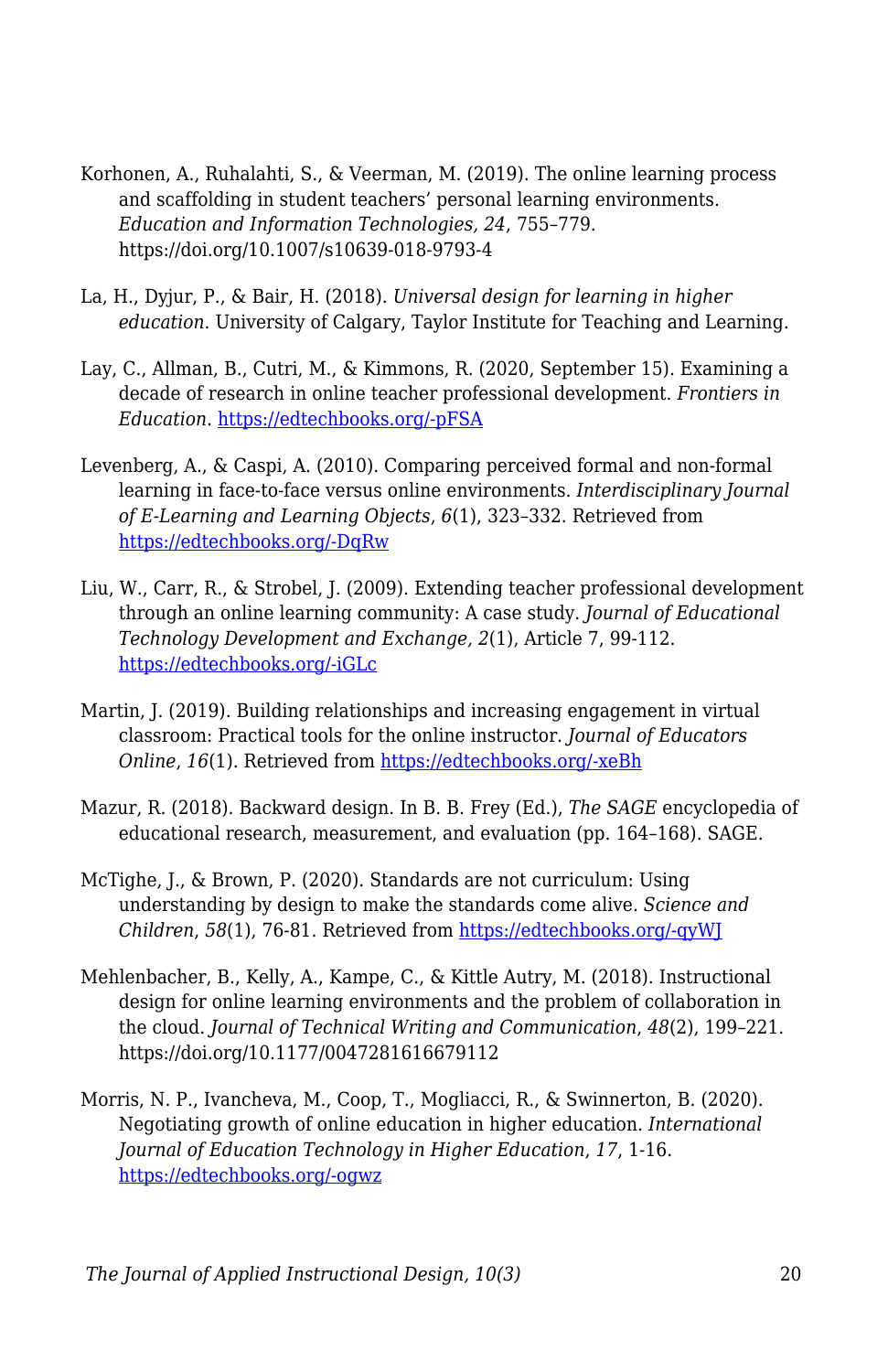- Korhonen, A., Ruhalahti, S., & Veerman, M. (2019). The online learning process and scaffolding in student teachers' personal learning environments. *Education and Information Technologies, 24*, 755–779. https://doi.org/10.1007/s10639-018-9793-4
- La, H., Dyjur, P., & Bair, H. (2018). *Universal design for learning in higher education*. University of Calgary, Taylor Institute for Teaching and Learning.
- Lay, C., Allman, B., Cutri, M., & Kimmons, R. (2020, September 15). Examining a decade of research in online teacher professional development. *Frontiers in Education*. [https://edtechbooks.org/-pFSA](https://doi.org/10.3389/feduc.2020.573129)
- Levenberg, A., & Caspi, A. (2010). Comparing perceived formal and non-formal learning in face-to-face versus online environments. *Interdisciplinary Journal of E-Learning and Learning Objects*, *6*(1), 323–332. Retrieved from [https://edtechbooks.org/-DqRw](https://www.learntechlib.org/p/44790)
- Liu, W., Carr, R., & Strobel, J. (2009). Extending teacher professional development through an online learning community: A case study. *Journal of Educational Technology Development and Exchange, 2*(1), Article 7, 99-112. [https://edtechbooks.org/-iGLc](https://doi.org/10.18785/jetde.0201.07)
- Martin, J. (2019). Building relationships and increasing engagement in virtual classroom: Practical tools for the online instructor. *Journal of Educators Online*, *16*(1). Retrieved from [https://edtechbooks.org/-xeBh](https://www.thejeo.com/archive/2019_16_1/martin)
- Mazur, R. (2018). Backward design. In B. B. Frey (Ed.), *The SAGE* encyclopedia of educational research, measurement, and evaluation (pp. 164–168). SAGE.
- McTighe, J., & Brown, P. (2020). Standards are not curriculum: Using understanding by design to make the standards come alive. *Science and Children*, *58*(1), 76-81. Retrieved from [https://edtechbooks.org/-qyWJ](https://www.nsta.org/science-and-children/science-and-children-septemberoctober-2020/standards-are-not-curriculum)
- Mehlenbacher, B., Kelly, A., Kampe, C., & Kittle Autry, M. (2018). Instructional design for online learning environments and the problem of collaboration in the cloud. *Journal of Technical Writing and Communication*, *48*(2), 199–221. https://doi.org/10.1177/0047281616679112
- Morris, N. P., Ivancheva, M., Coop, T., Mogliacci, R., & Swinnerton, B*.* (2020). Negotiating growth of online education in higher education. *International Journal of Education Technology in Higher Education*, *17*, 1-16. [https://edtechbooks.org/-ogwz](https://doi.org/10.1186/s41239-020-00227-w)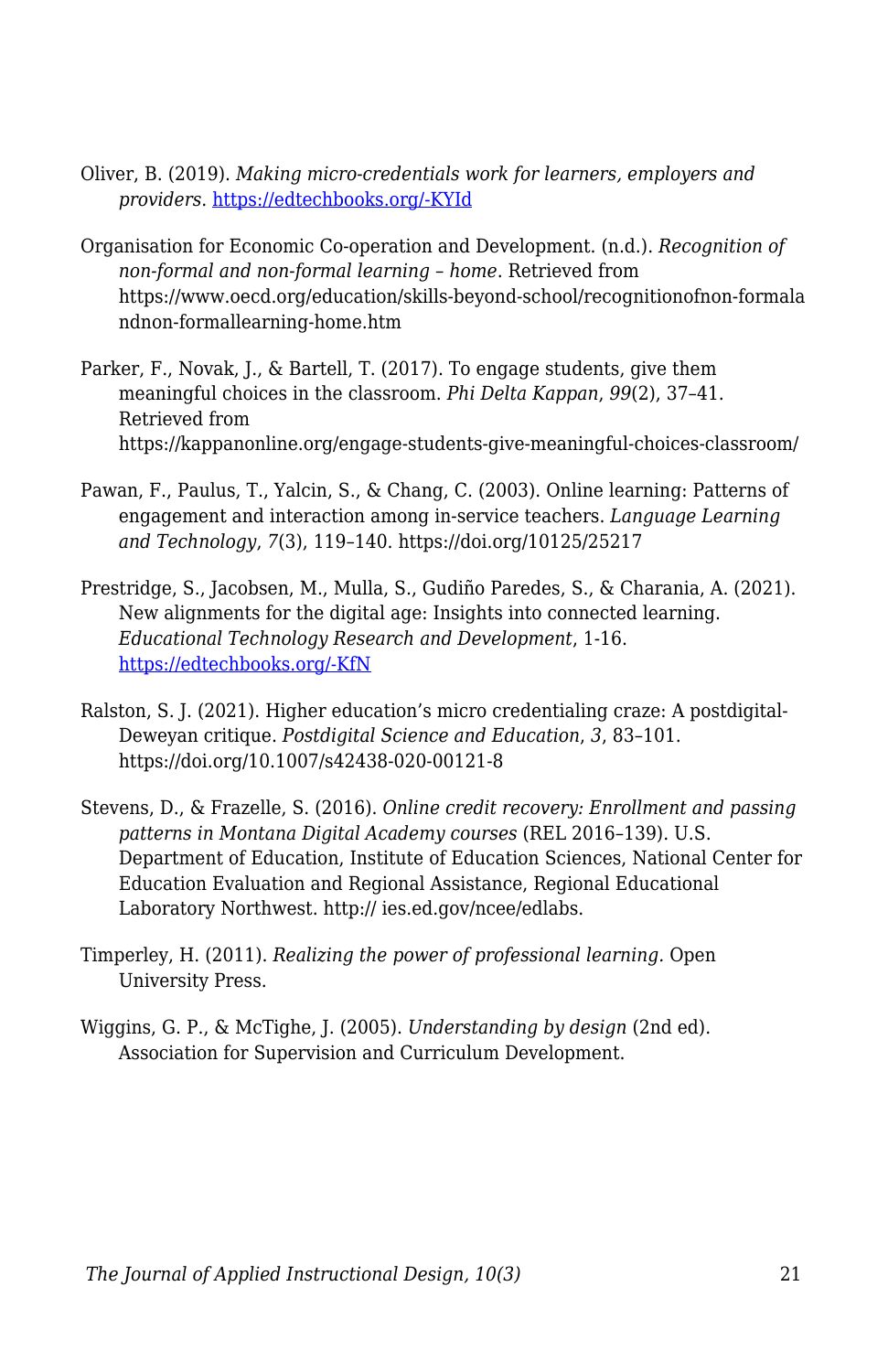- Oliver, B. (2019). *Making micro-credentials work for learners, employers and providers*. [https://edtechbooks.org/-KYId](https://dteach.deakin.edu.au/wp-content/uploads/sites/103/2019/08/Making-micro-credentials-work-Oliver-Deakin-2019-full-report.pdf)
- Organisation for Economic Co-operation and Development. (n.d.). *Recognition of non-formal and non-formal learning – home*. Retrieved from https://www.oecd.org/education/skills-beyond-school/recognitionofnon-formala ndnon-formallearning-home.htm
- Parker, F., Novak, J., & Bartell, T. (2017). To engage students, give them meaningful choices in the classroom. *Phi Delta Kappan*, *99*(2), 37–41. Retrieved from https://kappanonline.org/engage-students-give-meaningful-choices-classroom/
- Pawan, F., Paulus, T., Yalcin, S., & Chang, C. (2003). Online learning: Patterns of engagement and interaction among in-service teachers. *Language Learning and Technology*, *7*(3), 119–140. https://doi.org/10125/25217
- Prestridge, S., Jacobsen, M., Mulla, S., Gudiño Paredes, S., & Charania, A. (2021). New alignments for the digital age: Insights into connected learning. *Educational Technology Research and Development*, 1-16. [https://edtechbooks.org/-KfN](https://doi.org/10.1007/s11423-021-09968-5)
- Ralston, S. J. (2021). Higher education's micro credentialing craze: A postdigital-Deweyan critique. *Postdigital Science and Education*, *3*, 83–101. https://doi.org/10.1007/s42438-020-00121-8
- Stevens, D., & Frazelle, S. (2016). *Online credit recovery: Enrollment and passing patterns in Montana Digital Academy courses* (REL 2016–139). U.S. Department of Education, Institute of Education Sciences, National Center for Education Evaluation and Regional Assistance, Regional Educational Laboratory Northwest. http:// ies.ed.gov/ncee/edlabs.
- Timperley, H. (2011). *Realizing the power of professional learning.* Open University Press.
- Wiggins, G. P., & McTighe, J. (2005). *Understanding by design* (2nd ed). Association for Supervision and Curriculum Development.